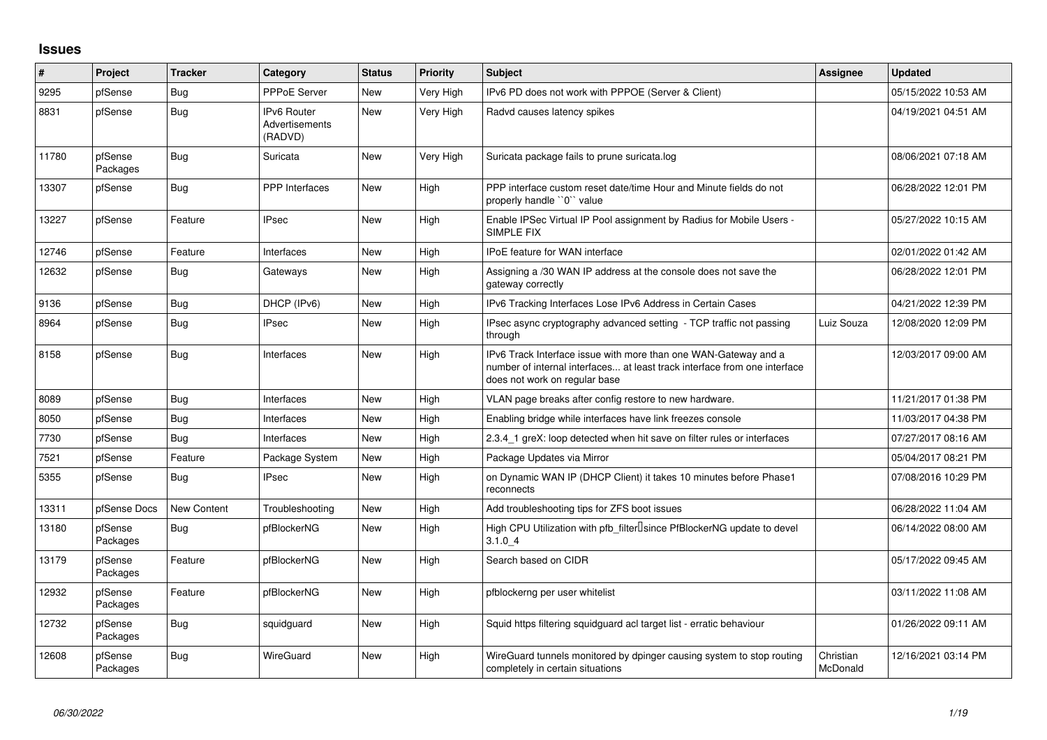## **Issues**

| #     | Project             | Tracker            | Category                                        | <b>Status</b> | <b>Priority</b> | <b>Subject</b>                                                                                                                                                                | <b>Assignee</b>       | <b>Updated</b>      |
|-------|---------------------|--------------------|-------------------------------------------------|---------------|-----------------|-------------------------------------------------------------------------------------------------------------------------------------------------------------------------------|-----------------------|---------------------|
| 9295  | pfSense             | Bug                | <b>PPPoE Server</b>                             | <b>New</b>    | Very High       | IPv6 PD does not work with PPPOE (Server & Client)                                                                                                                            |                       | 05/15/2022 10:53 AM |
| 8831  | pfSense             | Bug                | <b>IPv6 Router</b><br>Advertisements<br>(RADVD) | <b>New</b>    | Very High       | Radvd causes latency spikes                                                                                                                                                   |                       | 04/19/2021 04:51 AM |
| 11780 | pfSense<br>Packages | <b>Bug</b>         | Suricata                                        | <b>New</b>    | Very High       | Suricata package fails to prune suricata.log                                                                                                                                  |                       | 08/06/2021 07:18 AM |
| 13307 | pfSense             | <b>Bug</b>         | PPP Interfaces                                  | <b>New</b>    | High            | PPP interface custom reset date/time Hour and Minute fields do not<br>properly handle "0" value                                                                               |                       | 06/28/2022 12:01 PM |
| 13227 | pfSense             | Feature            | <b>IPsec</b>                                    | <b>New</b>    | High            | Enable IPSec Virtual IP Pool assignment by Radius for Mobile Users -<br>SIMPLE FIX                                                                                            |                       | 05/27/2022 10:15 AM |
| 12746 | pfSense             | Feature            | Interfaces                                      | <b>New</b>    | High            | <b>IPoE</b> feature for WAN interface                                                                                                                                         |                       | 02/01/2022 01:42 AM |
| 12632 | pfSense             | Bug                | Gateways                                        | <b>New</b>    | High            | Assigning a /30 WAN IP address at the console does not save the<br>gateway correctly                                                                                          |                       | 06/28/2022 12:01 PM |
| 9136  | pfSense             | Bug                | DHCP (IPv6)                                     | <b>New</b>    | High            | IPv6 Tracking Interfaces Lose IPv6 Address in Certain Cases                                                                                                                   |                       | 04/21/2022 12:39 PM |
| 8964  | pfSense             | Bug                | <b>IPsec</b>                                    | <b>New</b>    | High            | IPsec async cryptography advanced setting - TCP traffic not passing<br>through                                                                                                | Luiz Souza            | 12/08/2020 12:09 PM |
| 8158  | pfSense             | Bug                | Interfaces                                      | New           | High            | IPv6 Track Interface issue with more than one WAN-Gateway and a<br>number of internal interfaces at least track interface from one interface<br>does not work on regular base |                       | 12/03/2017 09:00 AM |
| 8089  | pfSense             | Bug                | Interfaces                                      | <b>New</b>    | High            | VLAN page breaks after config restore to new hardware.                                                                                                                        |                       | 11/21/2017 01:38 PM |
| 8050  | pfSense             | <b>Bug</b>         | Interfaces                                      | <b>New</b>    | High            | Enabling bridge while interfaces have link freezes console                                                                                                                    |                       | 11/03/2017 04:38 PM |
| 7730  | pfSense             | Bug                | Interfaces                                      | <b>New</b>    | High            | 2.3.4 1 greX: loop detected when hit save on filter rules or interfaces                                                                                                       |                       | 07/27/2017 08:16 AM |
| 7521  | pfSense             | Feature            | Package System                                  | <b>New</b>    | High            | Package Updates via Mirror                                                                                                                                                    |                       | 05/04/2017 08:21 PM |
| 5355  | pfSense             | Bug                | <b>IPsec</b>                                    | <b>New</b>    | High            | on Dynamic WAN IP (DHCP Client) it takes 10 minutes before Phase1<br>reconnects                                                                                               |                       | 07/08/2016 10:29 PM |
| 13311 | pfSense Docs        | <b>New Content</b> | Troubleshootina                                 | <b>New</b>    | High            | Add troubleshooting tips for ZFS boot issues                                                                                                                                  |                       | 06/28/2022 11:04 AM |
| 13180 | pfSense<br>Packages | Bug                | pfBlockerNG                                     | New           | High            | High CPU Utilization with pfb filter <sup>D</sup> since PfBlockerNG update to devel<br>3.1.04                                                                                 |                       | 06/14/2022 08:00 AM |
| 13179 | pfSense<br>Packages | Feature            | pfBlockerNG                                     | <b>New</b>    | High            | Search based on CIDR                                                                                                                                                          |                       | 05/17/2022 09:45 AM |
| 12932 | pfSense<br>Packages | Feature            | pfBlockerNG                                     | <b>New</b>    | High            | pfblockerng per user whitelist                                                                                                                                                |                       | 03/11/2022 11:08 AM |
| 12732 | pfSense<br>Packages | Bug                | squidguard                                      | <b>New</b>    | High            | Squid https filtering squidguard acl target list - erratic behaviour                                                                                                          |                       | 01/26/2022 09:11 AM |
| 12608 | pfSense<br>Packages | Bug                | WireGuard                                       | <b>New</b>    | High            | WireGuard tunnels monitored by dpinger causing system to stop routing<br>completely in certain situations                                                                     | Christian<br>McDonald | 12/16/2021 03:14 PM |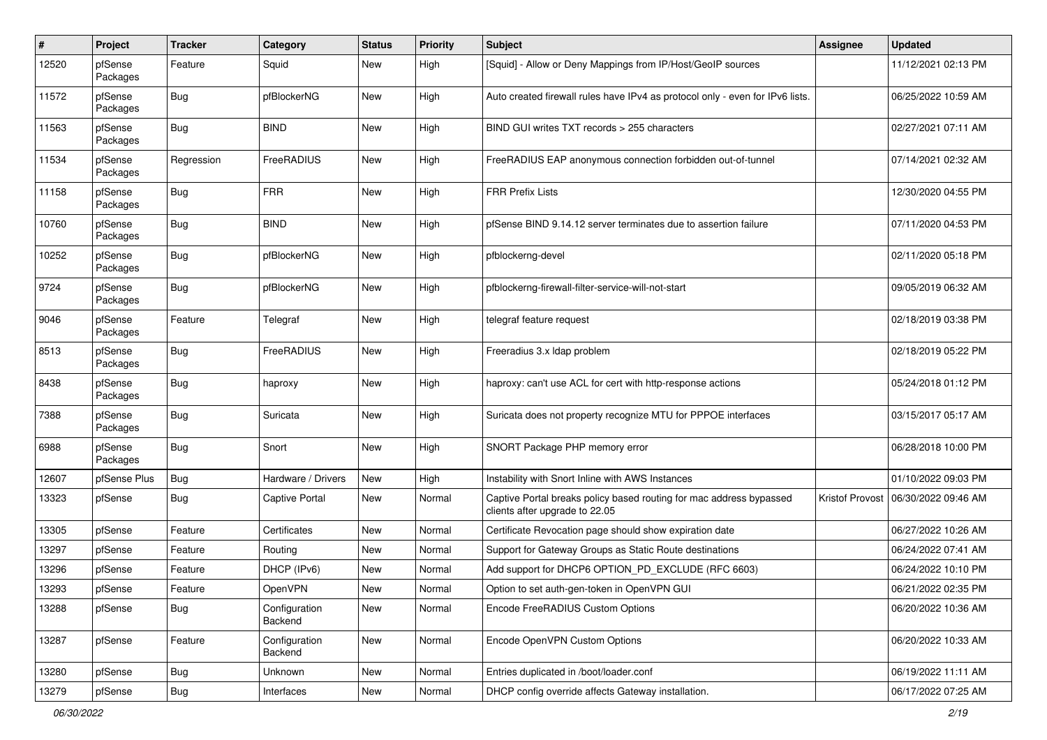| ∦     | Project             | <b>Tracker</b> | Category                 | <b>Status</b> | <b>Priority</b> | Subject                                                                                               | <b>Assignee</b>        | <b>Updated</b>      |
|-------|---------------------|----------------|--------------------------|---------------|-----------------|-------------------------------------------------------------------------------------------------------|------------------------|---------------------|
| 12520 | pfSense<br>Packages | Feature        | Squid                    | New           | High            | [Squid] - Allow or Deny Mappings from IP/Host/GeoIP sources                                           |                        | 11/12/2021 02:13 PM |
| 11572 | pfSense<br>Packages | Bug            | pfBlockerNG              | New           | High            | Auto created firewall rules have IPv4 as protocol only - even for IPv6 lists.                         |                        | 06/25/2022 10:59 AM |
| 11563 | pfSense<br>Packages | Bug            | <b>BIND</b>              | <b>New</b>    | High            | BIND GUI writes TXT records > 255 characters                                                          |                        | 02/27/2021 07:11 AM |
| 11534 | pfSense<br>Packages | Regression     | FreeRADIUS               | New           | High            | FreeRADIUS EAP anonymous connection forbidden out-of-tunnel                                           |                        | 07/14/2021 02:32 AM |
| 11158 | pfSense<br>Packages | Bug            | <b>FRR</b>               | New           | High            | <b>FRR Prefix Lists</b>                                                                               |                        | 12/30/2020 04:55 PM |
| 10760 | pfSense<br>Packages | <b>Bug</b>     | <b>BIND</b>              | <b>New</b>    | High            | pfSense BIND 9.14.12 server terminates due to assertion failure                                       |                        | 07/11/2020 04:53 PM |
| 10252 | pfSense<br>Packages | <b>Bug</b>     | pfBlockerNG              | New           | High            | pfblockerng-devel                                                                                     |                        | 02/11/2020 05:18 PM |
| 9724  | pfSense<br>Packages | <b>Bug</b>     | pfBlockerNG              | New           | High            | pfblockerng-firewall-filter-service-will-not-start                                                    |                        | 09/05/2019 06:32 AM |
| 9046  | pfSense<br>Packages | Feature        | Telegraf                 | New           | High            | telegraf feature request                                                                              |                        | 02/18/2019 03:38 PM |
| 8513  | pfSense<br>Packages | Bug            | FreeRADIUS               | <b>New</b>    | High            | Freeradius 3.x Idap problem                                                                           |                        | 02/18/2019 05:22 PM |
| 8438  | pfSense<br>Packages | <b>Bug</b>     | haproxy                  | New           | High            | haproxy: can't use ACL for cert with http-response actions                                            |                        | 05/24/2018 01:12 PM |
| 7388  | pfSense<br>Packages | <b>Bug</b>     | Suricata                 | New           | High            | Suricata does not property recognize MTU for PPPOE interfaces                                         |                        | 03/15/2017 05:17 AM |
| 6988  | pfSense<br>Packages | <b>Bug</b>     | Snort                    | New           | High            | SNORT Package PHP memory error                                                                        |                        | 06/28/2018 10:00 PM |
| 12607 | pfSense Plus        | <b>Bug</b>     | Hardware / Drivers       | New           | High            | Instability with Snort Inline with AWS Instances                                                      |                        | 01/10/2022 09:03 PM |
| 13323 | pfSense             | <b>Bug</b>     | <b>Captive Portal</b>    | New           | Normal          | Captive Portal breaks policy based routing for mac address bypassed<br>clients after upgrade to 22.05 | <b>Kristof Provost</b> | 06/30/2022 09:46 AM |
| 13305 | pfSense             | Feature        | Certificates             | New           | Normal          | Certificate Revocation page should show expiration date                                               |                        | 06/27/2022 10:26 AM |
| 13297 | pfSense             | Feature        | Routing                  | New           | Normal          | Support for Gateway Groups as Static Route destinations                                               |                        | 06/24/2022 07:41 AM |
| 13296 | pfSense             | Feature        | DHCP (IPv6)              | New           | Normal          | Add support for DHCP6 OPTION PD EXCLUDE (RFC 6603)                                                    |                        | 06/24/2022 10:10 PM |
| 13293 | pfSense             | Feature        | OpenVPN                  | New           | Normal          | Option to set auth-gen-token in OpenVPN GUI                                                           |                        | 06/21/2022 02:35 PM |
| 13288 | pfSense             | Bug            | Configuration<br>Backend | New           | Normal          | Encode FreeRADIUS Custom Options                                                                      |                        | 06/20/2022 10:36 AM |
| 13287 | pfSense             | Feature        | Configuration<br>Backend | New           | Normal          | Encode OpenVPN Custom Options                                                                         |                        | 06/20/2022 10:33 AM |
| 13280 | pfSense             | <b>Bug</b>     | Unknown                  | New           | Normal          | Entries duplicated in /boot/loader.conf                                                               |                        | 06/19/2022 11:11 AM |
| 13279 | pfSense             | <b>Bug</b>     | Interfaces               | New           | Normal          | DHCP config override affects Gateway installation.                                                    |                        | 06/17/2022 07:25 AM |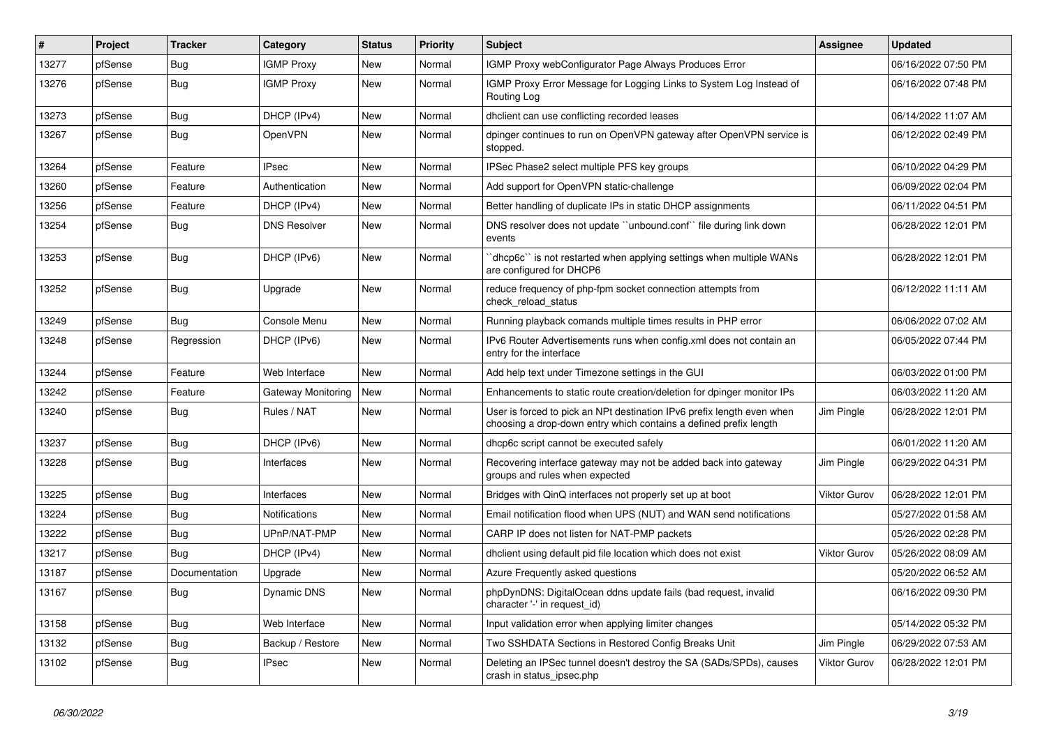| $\sharp$ | Project | <b>Tracker</b> | Category            | <b>Status</b> | Priority | <b>Subject</b>                                                                                                                              | Assignee            | <b>Updated</b>      |
|----------|---------|----------------|---------------------|---------------|----------|---------------------------------------------------------------------------------------------------------------------------------------------|---------------------|---------------------|
| 13277    | pfSense | Bug            | <b>IGMP Proxy</b>   | New           | Normal   | IGMP Proxy webConfigurator Page Always Produces Error                                                                                       |                     | 06/16/2022 07:50 PM |
| 13276    | pfSense | <b>Bug</b>     | <b>IGMP Proxy</b>   | <b>New</b>    | Normal   | IGMP Proxy Error Message for Logging Links to System Log Instead of<br>Routing Log                                                          |                     | 06/16/2022 07:48 PM |
| 13273    | pfSense | <b>Bug</b>     | DHCP (IPv4)         | New           | Normal   | dhclient can use conflicting recorded leases                                                                                                |                     | 06/14/2022 11:07 AM |
| 13267    | pfSense | Bug            | OpenVPN             | New           | Normal   | dpinger continues to run on OpenVPN gateway after OpenVPN service is<br>stopped.                                                            |                     | 06/12/2022 02:49 PM |
| 13264    | pfSense | Feature        | <b>IPsec</b>        | New           | Normal   | IPSec Phase2 select multiple PFS key groups                                                                                                 |                     | 06/10/2022 04:29 PM |
| 13260    | pfSense | Feature        | Authentication      | New           | Normal   | Add support for OpenVPN static-challenge                                                                                                    |                     | 06/09/2022 02:04 PM |
| 13256    | pfSense | Feature        | DHCP (IPv4)         | New           | Normal   | Better handling of duplicate IPs in static DHCP assignments                                                                                 |                     | 06/11/2022 04:51 PM |
| 13254    | pfSense | <b>Bug</b>     | <b>DNS Resolver</b> | New           | Normal   | DNS resolver does not update "unbound.conf" file during link down<br>events                                                                 |                     | 06/28/2022 12:01 PM |
| 13253    | pfSense | Bug            | DHCP (IPv6)         | <b>New</b>    | Normal   | dhcp6c" is not restarted when applying settings when multiple WANs<br>are configured for DHCP6                                              |                     | 06/28/2022 12:01 PM |
| 13252    | pfSense | Bug            | Upgrade             | New           | Normal   | reduce frequency of php-fpm socket connection attempts from<br>check reload status                                                          |                     | 06/12/2022 11:11 AM |
| 13249    | pfSense | Bug            | Console Menu        | New           | Normal   | Running playback comands multiple times results in PHP error                                                                                |                     | 06/06/2022 07:02 AM |
| 13248    | pfSense | Regression     | DHCP (IPv6)         | New           | Normal   | IPv6 Router Advertisements runs when config.xml does not contain an<br>entry for the interface                                              |                     | 06/05/2022 07:44 PM |
| 13244    | pfSense | Feature        | Web Interface       | <b>New</b>    | Normal   | Add help text under Timezone settings in the GUI                                                                                            |                     | 06/03/2022 01:00 PM |
| 13242    | pfSense | Feature        | Gateway Monitoring  | <b>New</b>    | Normal   | Enhancements to static route creation/deletion for dpinger monitor IPs                                                                      |                     | 06/03/2022 11:20 AM |
| 13240    | pfSense | Bug            | Rules / NAT         | <b>New</b>    | Normal   | User is forced to pick an NPt destination IPv6 prefix length even when<br>choosing a drop-down entry which contains a defined prefix length | Jim Pingle          | 06/28/2022 12:01 PM |
| 13237    | pfSense | <b>Bug</b>     | DHCP (IPv6)         | New           | Normal   | dhcp6c script cannot be executed safely                                                                                                     |                     | 06/01/2022 11:20 AM |
| 13228    | pfSense | Bug            | Interfaces          | New           | Normal   | Recovering interface gateway may not be added back into gateway<br>groups and rules when expected                                           | Jim Pingle          | 06/29/2022 04:31 PM |
| 13225    | pfSense | Bug            | Interfaces          | <b>New</b>    | Normal   | Bridges with QinQ interfaces not properly set up at boot                                                                                    | Viktor Gurov        | 06/28/2022 12:01 PM |
| 13224    | pfSense | <b>Bug</b>     | Notifications       | <b>New</b>    | Normal   | Email notification flood when UPS (NUT) and WAN send notifications                                                                          |                     | 05/27/2022 01:58 AM |
| 13222    | pfSense | Bug            | UPnP/NAT-PMP        | New           | Normal   | CARP IP does not listen for NAT-PMP packets                                                                                                 |                     | 05/26/2022 02:28 PM |
| 13217    | pfSense | Bug            | DHCP (IPv4)         | <b>New</b>    | Normal   | dhclient using default pid file location which does not exist                                                                               | <b>Viktor Gurov</b> | 05/26/2022 08:09 AM |
| 13187    | pfSense | Documentation  | Upgrade             | New           | Normal   | Azure Frequently asked questions                                                                                                            |                     | 05/20/2022 06:52 AM |
| 13167    | pfSense | Bug            | <b>Dynamic DNS</b>  | <b>New</b>    | Normal   | phpDynDNS: DigitalOcean ddns update fails (bad request, invalid<br>character '-' in request_id)                                             |                     | 06/16/2022 09:30 PM |
| 13158    | pfSense | Bug            | Web Interface       | New           | Normal   | Input validation error when applying limiter changes                                                                                        |                     | 05/14/2022 05:32 PM |
| 13132    | pfSense | <b>Bug</b>     | Backup / Restore    | New           | Normal   | Two SSHDATA Sections in Restored Config Breaks Unit                                                                                         | Jim Pingle          | 06/29/2022 07:53 AM |
| 13102    | pfSense | Bug            | <b>IPsec</b>        | New           | Normal   | Deleting an IPSec tunnel doesn't destroy the SA (SADs/SPDs), causes<br>crash in status_ipsec.php                                            | <b>Viktor Gurov</b> | 06/28/2022 12:01 PM |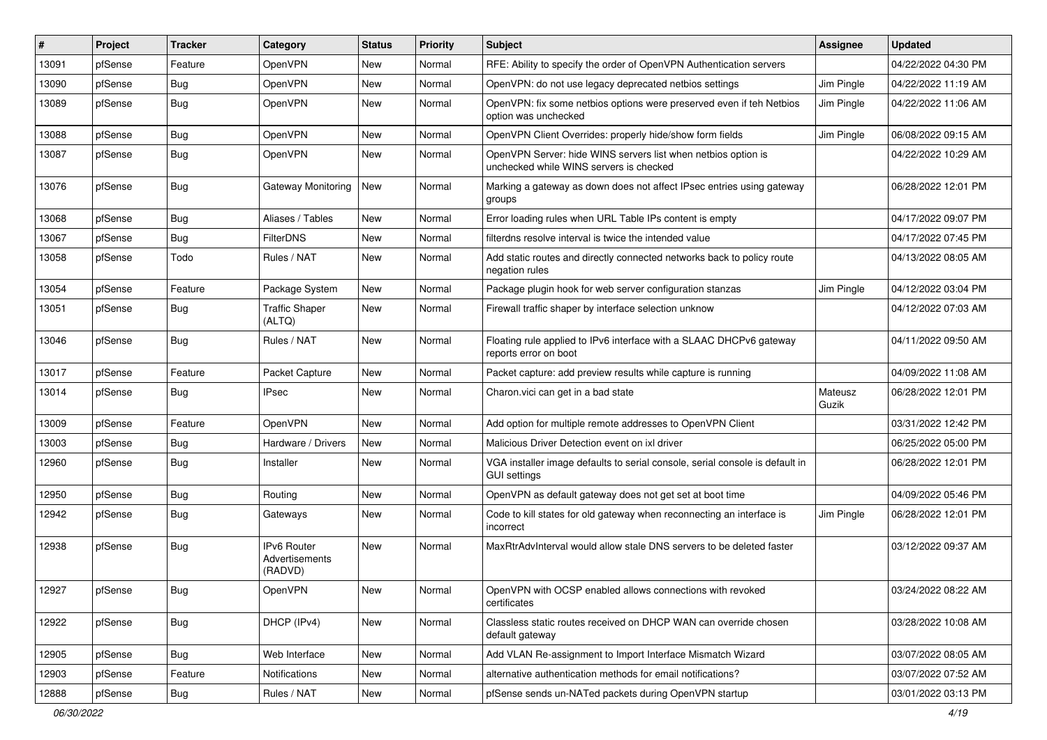| #     | Project | <b>Tracker</b> | Category                                 | <b>Status</b> | <b>Priority</b> | Subject                                                                                                  | <b>Assignee</b>  | <b>Updated</b>      |
|-------|---------|----------------|------------------------------------------|---------------|-----------------|----------------------------------------------------------------------------------------------------------|------------------|---------------------|
| 13091 | pfSense | Feature        | OpenVPN                                  | New           | Normal          | RFE: Ability to specify the order of OpenVPN Authentication servers                                      |                  | 04/22/2022 04:30 PM |
| 13090 | pfSense | <b>Bug</b>     | OpenVPN                                  | New           | Normal          | OpenVPN: do not use legacy deprecated netbios settings                                                   | Jim Pingle       | 04/22/2022 11:19 AM |
| 13089 | pfSense | Bug            | <b>OpenVPN</b>                           | New           | Normal          | OpenVPN: fix some netbios options were preserved even if teh Netbios<br>option was unchecked             | Jim Pingle       | 04/22/2022 11:06 AM |
| 13088 | pfSense | <b>Bug</b>     | OpenVPN                                  | New           | Normal          | OpenVPN Client Overrides: properly hide/show form fields                                                 | Jim Pingle       | 06/08/2022 09:15 AM |
| 13087 | pfSense | <b>Bug</b>     | OpenVPN                                  | New           | Normal          | OpenVPN Server: hide WINS servers list when netbios option is<br>unchecked while WINS servers is checked |                  | 04/22/2022 10:29 AM |
| 13076 | pfSense | Bug            | Gateway Monitoring                       | New           | Normal          | Marking a gateway as down does not affect IPsec entries using gateway<br>groups                          |                  | 06/28/2022 12:01 PM |
| 13068 | pfSense | Bug            | Aliases / Tables                         | New           | Normal          | Error loading rules when URL Table IPs content is empty                                                  |                  | 04/17/2022 09:07 PM |
| 13067 | pfSense | <b>Bug</b>     | FilterDNS                                | New           | Normal          | filterdns resolve interval is twice the intended value                                                   |                  | 04/17/2022 07:45 PM |
| 13058 | pfSense | Todo           | Rules / NAT                              | New           | Normal          | Add static routes and directly connected networks back to policy route<br>negation rules                 |                  | 04/13/2022 08:05 AM |
| 13054 | pfSense | Feature        | Package System                           | New           | Normal          | Package plugin hook for web server configuration stanzas                                                 | Jim Pingle       | 04/12/2022 03:04 PM |
| 13051 | pfSense | <b>Bug</b>     | <b>Traffic Shaper</b><br>(ALTQ)          | New           | Normal          | Firewall traffic shaper by interface selection unknow                                                    |                  | 04/12/2022 07:03 AM |
| 13046 | pfSense | Bug            | Rules / NAT                              | New           | Normal          | Floating rule applied to IPv6 interface with a SLAAC DHCPv6 gateway<br>reports error on boot             |                  | 04/11/2022 09:50 AM |
| 13017 | pfSense | Feature        | Packet Capture                           | <b>New</b>    | Normal          | Packet capture: add preview results while capture is running                                             |                  | 04/09/2022 11:08 AM |
| 13014 | pfSense | <b>Bug</b>     | IPsec                                    | New           | Normal          | Charon.vici can get in a bad state                                                                       | Mateusz<br>Guzik | 06/28/2022 12:01 PM |
| 13009 | pfSense | Feature        | OpenVPN                                  | New           | Normal          | Add option for multiple remote addresses to OpenVPN Client                                               |                  | 03/31/2022 12:42 PM |
| 13003 | pfSense | <b>Bug</b>     | Hardware / Drivers                       | New           | Normal          | Malicious Driver Detection event on ixl driver                                                           |                  | 06/25/2022 05:00 PM |
| 12960 | pfSense | Bug            | Installer                                | <b>New</b>    | Normal          | VGA installer image defaults to serial console, serial console is default in<br><b>GUI settings</b>      |                  | 06/28/2022 12:01 PM |
| 12950 | pfSense | <b>Bug</b>     | Routing                                  | New           | Normal          | OpenVPN as default gateway does not get set at boot time                                                 |                  | 04/09/2022 05:46 PM |
| 12942 | pfSense | <b>Bug</b>     | Gateways                                 | New           | Normal          | Code to kill states for old gateway when reconnecting an interface is<br>incorrect                       | Jim Pingle       | 06/28/2022 12:01 PM |
| 12938 | pfSense | Bug            | IPv6 Router<br>Advertisements<br>(RADVD) | New           | Normal          | MaxRtrAdvInterval would allow stale DNS servers to be deleted faster                                     |                  | 03/12/2022 09:37 AM |
| 12927 | pfSense | <b>Bug</b>     | OpenVPN                                  | New           | Normal          | OpenVPN with OCSP enabled allows connections with revoked<br>certificates                                |                  | 03/24/2022 08:22 AM |
| 12922 | pfSense | <b>Bug</b>     | DHCP (IPv4)                              | New           | Normal          | Classless static routes received on DHCP WAN can override chosen<br>default gateway                      |                  | 03/28/2022 10:08 AM |
| 12905 | pfSense | <b>Bug</b>     | Web Interface                            | New           | Normal          | Add VLAN Re-assignment to Import Interface Mismatch Wizard                                               |                  | 03/07/2022 08:05 AM |
| 12903 | pfSense | Feature        | Notifications                            | New           | Normal          | alternative authentication methods for email notifications?                                              |                  | 03/07/2022 07:52 AM |
| 12888 | pfSense | Bug            | Rules / NAT                              | New           | Normal          | pfSense sends un-NATed packets during OpenVPN startup                                                    |                  | 03/01/2022 03:13 PM |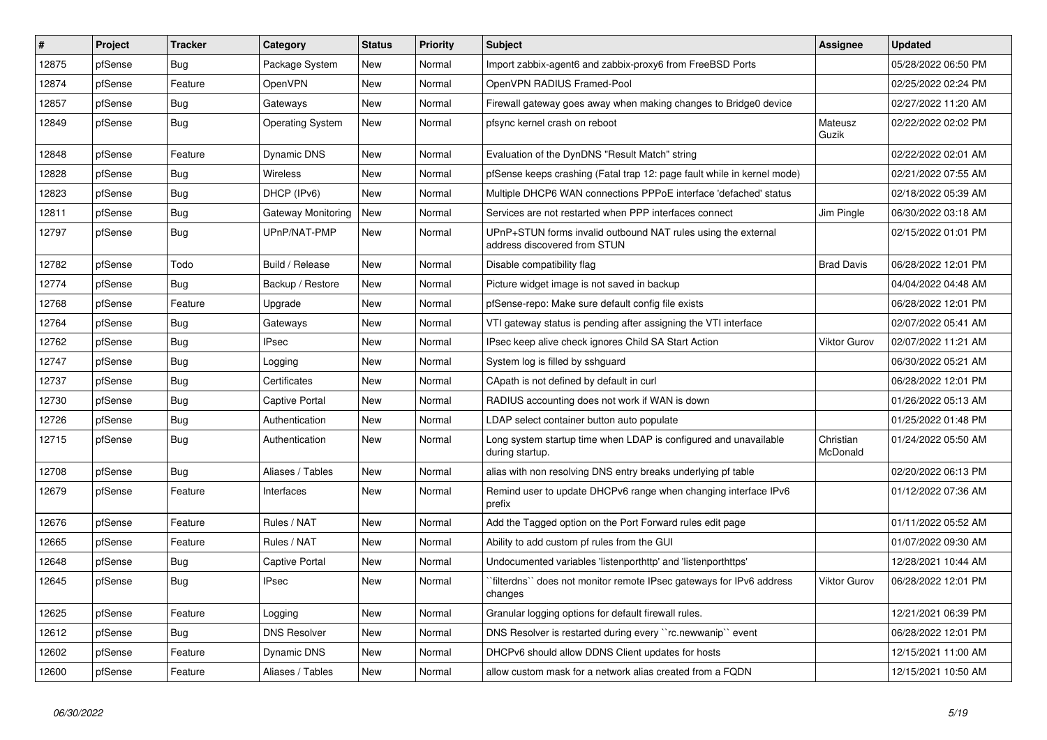| $\sharp$ | Project | <b>Tracker</b> | Category                | <b>Status</b> | <b>Priority</b> | <b>Subject</b>                                                                                | Assignee              | <b>Updated</b>      |
|----------|---------|----------------|-------------------------|---------------|-----------------|-----------------------------------------------------------------------------------------------|-----------------------|---------------------|
| 12875    | pfSense | Bug            | Package System          | <b>New</b>    | Normal          | Import zabbix-agent6 and zabbix-proxy6 from FreeBSD Ports                                     |                       | 05/28/2022 06:50 PM |
| 12874    | pfSense | Feature        | OpenVPN                 | New           | Normal          | OpenVPN RADIUS Framed-Pool                                                                    |                       | 02/25/2022 02:24 PM |
| 12857    | pfSense | <b>Bug</b>     | Gateways                | <b>New</b>    | Normal          | Firewall gateway goes away when making changes to Bridge0 device                              |                       | 02/27/2022 11:20 AM |
| 12849    | pfSense | <b>Bug</b>     | <b>Operating System</b> | <b>New</b>    | Normal          | pfsync kernel crash on reboot                                                                 | Mateusz<br>Guzik      | 02/22/2022 02:02 PM |
| 12848    | pfSense | Feature        | Dynamic DNS             | <b>New</b>    | Normal          | Evaluation of the DynDNS "Result Match" string                                                |                       | 02/22/2022 02:01 AM |
| 12828    | pfSense | <b>Bug</b>     | <b>Wireless</b>         | <b>New</b>    | Normal          | pfSense keeps crashing (Fatal trap 12: page fault while in kernel mode)                       |                       | 02/21/2022 07:55 AM |
| 12823    | pfSense | <b>Bug</b>     | DHCP (IPv6)             | <b>New</b>    | Normal          | Multiple DHCP6 WAN connections PPPoE interface 'defached' status                              |                       | 02/18/2022 05:39 AM |
| 12811    | pfSense | <b>Bug</b>     | Gateway Monitoring      | New           | Normal          | Services are not restarted when PPP interfaces connect                                        | Jim Pingle            | 06/30/2022 03:18 AM |
| 12797    | pfSense | <b>Bug</b>     | UPnP/NAT-PMP            | <b>New</b>    | Normal          | UPnP+STUN forms invalid outbound NAT rules using the external<br>address discovered from STUN |                       | 02/15/2022 01:01 PM |
| 12782    | pfSense | Todo           | Build / Release         | <b>New</b>    | Normal          | Disable compatibility flag                                                                    | <b>Brad Davis</b>     | 06/28/2022 12:01 PM |
| 12774    | pfSense | Bug            | Backup / Restore        | <b>New</b>    | Normal          | Picture widget image is not saved in backup                                                   |                       | 04/04/2022 04:48 AM |
| 12768    | pfSense | Feature        | Upgrade                 | <b>New</b>    | Normal          | pfSense-repo: Make sure default config file exists                                            |                       | 06/28/2022 12:01 PM |
| 12764    | pfSense | <b>Bug</b>     | Gateways                | <b>New</b>    | Normal          | VTI gateway status is pending after assigning the VTI interface                               |                       | 02/07/2022 05:41 AM |
| 12762    | pfSense | <b>Bug</b>     | <b>IPsec</b>            | <b>New</b>    | Normal          | IPsec keep alive check ignores Child SA Start Action                                          | <b>Viktor Gurov</b>   | 02/07/2022 11:21 AM |
| 12747    | pfSense | Bug            | Logging                 | <b>New</b>    | Normal          | System log is filled by sshguard                                                              |                       | 06/30/2022 05:21 AM |
| 12737    | pfSense | Bug            | Certificates            | <b>New</b>    | Normal          | CApath is not defined by default in curl                                                      |                       | 06/28/2022 12:01 PM |
| 12730    | pfSense | <b>Bug</b>     | Captive Portal          | New           | Normal          | RADIUS accounting does not work if WAN is down                                                |                       | 01/26/2022 05:13 AM |
| 12726    | pfSense | <b>Bug</b>     | Authentication          | New           | Normal          | LDAP select container button auto populate                                                    |                       | 01/25/2022 01:48 PM |
| 12715    | pfSense | <b>Bug</b>     | Authentication          | <b>New</b>    | Normal          | Long system startup time when LDAP is configured and unavailable<br>during startup.           | Christian<br>McDonald | 01/24/2022 05:50 AM |
| 12708    | pfSense | <b>Bug</b>     | Aliases / Tables        | <b>New</b>    | Normal          | alias with non resolving DNS entry breaks underlying pf table                                 |                       | 02/20/2022 06:13 PM |
| 12679    | pfSense | Feature        | Interfaces              | <b>New</b>    | Normal          | Remind user to update DHCPv6 range when changing interface IPv6<br>prefix                     |                       | 01/12/2022 07:36 AM |
| 12676    | pfSense | Feature        | Rules / NAT             | New           | Normal          | Add the Tagged option on the Port Forward rules edit page                                     |                       | 01/11/2022 05:52 AM |
| 12665    | pfSense | Feature        | Rules / NAT             | New           | Normal          | Ability to add custom pf rules from the GUI                                                   |                       | 01/07/2022 09:30 AM |
| 12648    | pfSense | Bug            | Captive Portal          | New           | Normal          | Undocumented variables 'listenporthttp' and 'listenporthttps'                                 |                       | 12/28/2021 10:44 AM |
| 12645    | pfSense | Bug            | <b>IPsec</b>            | New           | Normal          | filterdns`` does not monitor remote IPsec gateways for IPv6 address<br>changes                | <b>Viktor Gurov</b>   | 06/28/2022 12:01 PM |
| 12625    | pfSense | Feature        | Logging                 | New           | Normal          | Granular logging options for default firewall rules.                                          |                       | 12/21/2021 06:39 PM |
| 12612    | pfSense | Bug            | <b>DNS Resolver</b>     | New           | Normal          | DNS Resolver is restarted during every "rc.newwanip" event                                    |                       | 06/28/2022 12:01 PM |
| 12602    | pfSense | Feature        | Dynamic DNS             | <b>New</b>    | Normal          | DHCPv6 should allow DDNS Client updates for hosts                                             |                       | 12/15/2021 11:00 AM |
| 12600    | pfSense | Feature        | Aliases / Tables        | <b>New</b>    | Normal          | allow custom mask for a network alias created from a FQDN                                     |                       | 12/15/2021 10:50 AM |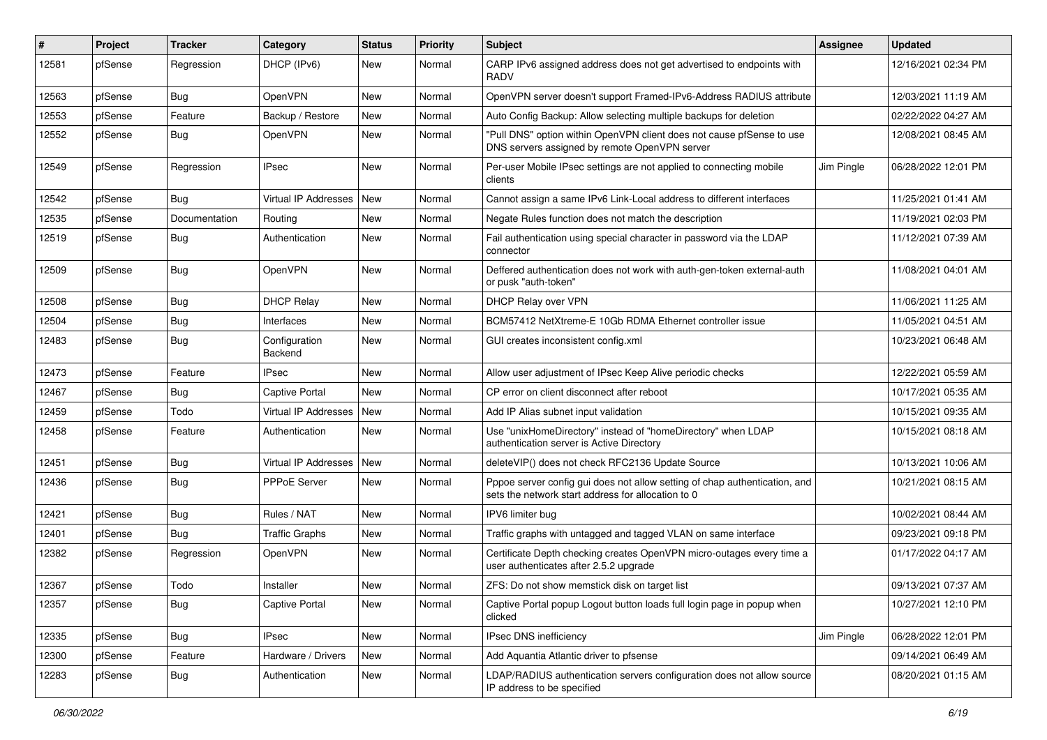| $\#$  | Project | <b>Tracker</b> | Category                    | <b>Status</b> | <b>Priority</b> | <b>Subject</b>                                                                                                                   | <b>Assignee</b> | <b>Updated</b>      |
|-------|---------|----------------|-----------------------------|---------------|-----------------|----------------------------------------------------------------------------------------------------------------------------------|-----------------|---------------------|
| 12581 | pfSense | Regression     | DHCP (IPv6)                 | <b>New</b>    | Normal          | CARP IPv6 assigned address does not get advertised to endpoints with<br>RADV                                                     |                 | 12/16/2021 02:34 PM |
| 12563 | pfSense | Bug            | OpenVPN                     | <b>New</b>    | Normal          | OpenVPN server doesn't support Framed-IPv6-Address RADIUS attribute                                                              |                 | 12/03/2021 11:19 AM |
| 12553 | pfSense | Feature        | Backup / Restore            | New           | Normal          | Auto Config Backup: Allow selecting multiple backups for deletion                                                                |                 | 02/22/2022 04:27 AM |
| 12552 | pfSense | Bug            | OpenVPN                     | New           | Normal          | "Pull DNS" option within OpenVPN client does not cause pfSense to use<br>DNS servers assigned by remote OpenVPN server           |                 | 12/08/2021 08:45 AM |
| 12549 | pfSense | Regression     | IPsec                       | New           | Normal          | Per-user Mobile IPsec settings are not applied to connecting mobile<br>clients                                                   | Jim Pingle      | 06/28/2022 12:01 PM |
| 12542 | pfSense | Bug            | Virtual IP Addresses        | New           | Normal          | Cannot assign a same IPv6 Link-Local address to different interfaces                                                             |                 | 11/25/2021 01:41 AM |
| 12535 | pfSense | Documentation  | Routing                     | <b>New</b>    | Normal          | Negate Rules function does not match the description                                                                             |                 | 11/19/2021 02:03 PM |
| 12519 | pfSense | Bug            | Authentication              | New           | Normal          | Fail authentication using special character in password via the LDAP<br>connector                                                |                 | 11/12/2021 07:39 AM |
| 12509 | pfSense | <b>Bug</b>     | OpenVPN                     | <b>New</b>    | Normal          | Deffered authentication does not work with auth-gen-token external-auth<br>or pusk "auth-token"                                  |                 | 11/08/2021 04:01 AM |
| 12508 | pfSense | Bug            | <b>DHCP Relay</b>           | <b>New</b>    | Normal          | DHCP Relay over VPN                                                                                                              |                 | 11/06/2021 11:25 AM |
| 12504 | pfSense | Bug            | Interfaces                  | <b>New</b>    | Normal          | BCM57412 NetXtreme-E 10Gb RDMA Ethernet controller issue                                                                         |                 | 11/05/2021 04:51 AM |
| 12483 | pfSense | <b>Bug</b>     | Configuration<br>Backend    | <b>New</b>    | Normal          | GUI creates inconsistent config.xml                                                                                              |                 | 10/23/2021 06:48 AM |
| 12473 | pfSense | Feature        | <b>IPsec</b>                | <b>New</b>    | Normal          | Allow user adjustment of IPsec Keep Alive periodic checks                                                                        |                 | 12/22/2021 05:59 AM |
| 12467 | pfSense | <b>Bug</b>     | Captive Portal              | <b>New</b>    | Normal          | CP error on client disconnect after reboot                                                                                       |                 | 10/17/2021 05:35 AM |
| 12459 | pfSense | Todo           | Virtual IP Addresses        | New           | Normal          | Add IP Alias subnet input validation                                                                                             |                 | 10/15/2021 09:35 AM |
| 12458 | pfSense | Feature        | Authentication              | New           | Normal          | Use "unixHomeDirectory" instead of "homeDirectory" when LDAP<br>authentication server is Active Directory                        |                 | 10/15/2021 08:18 AM |
| 12451 | pfSense | Bug            | <b>Virtual IP Addresses</b> | New           | Normal          | deleteVIP() does not check RFC2136 Update Source                                                                                 |                 | 10/13/2021 10:06 AM |
| 12436 | pfSense | <b>Bug</b>     | PPPoE Server                | New           | Normal          | Pppoe server config gui does not allow setting of chap authentication, and<br>sets the network start address for allocation to 0 |                 | 10/21/2021 08:15 AM |
| 12421 | pfSense | <b>Bug</b>     | Rules / NAT                 | <b>New</b>    | Normal          | IPV6 limiter bug                                                                                                                 |                 | 10/02/2021 08:44 AM |
| 12401 | pfSense | Bug            | <b>Traffic Graphs</b>       | <b>New</b>    | Normal          | Traffic graphs with untagged and tagged VLAN on same interface                                                                   |                 | 09/23/2021 09:18 PM |
| 12382 | pfSense | Regression     | OpenVPN                     | <b>New</b>    | Normal          | Certificate Depth checking creates OpenVPN micro-outages every time a<br>user authenticates after 2.5.2 upgrade                  |                 | 01/17/2022 04:17 AM |
| 12367 | pfSense | Todo           | Installer                   | New           | Normal          | ZFS: Do not show memstick disk on target list                                                                                    |                 | 09/13/2021 07:37 AM |
| 12357 | pfSense | <b>Bug</b>     | Captive Portal              | New           | Normal          | Captive Portal popup Logout button loads full login page in popup when<br>clicked                                                |                 | 10/27/2021 12:10 PM |
| 12335 | pfSense | <b>Bug</b>     | <b>IPsec</b>                | New           | Normal          | IPsec DNS inefficiency                                                                                                           | Jim Pingle      | 06/28/2022 12:01 PM |
| 12300 | pfSense | Feature        | Hardware / Drivers          | New           | Normal          | Add Aquantia Atlantic driver to pfsense                                                                                          |                 | 09/14/2021 06:49 AM |
| 12283 | pfSense | <b>Bug</b>     | Authentication              | New           | Normal          | LDAP/RADIUS authentication servers configuration does not allow source<br>IP address to be specified                             |                 | 08/20/2021 01:15 AM |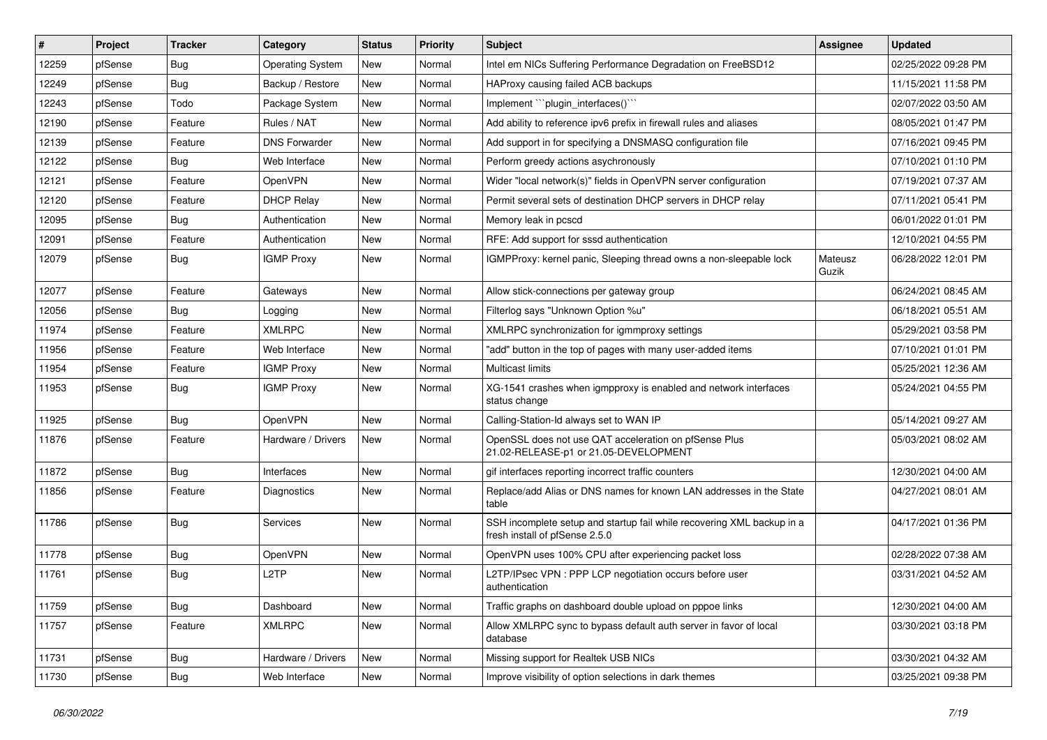| #     | Project | <b>Tracker</b> | Category                | <b>Status</b> | <b>Priority</b> | Subject                                                                                                  | <b>Assignee</b>  | <b>Updated</b>      |
|-------|---------|----------------|-------------------------|---------------|-----------------|----------------------------------------------------------------------------------------------------------|------------------|---------------------|
| 12259 | pfSense | <b>Bug</b>     | <b>Operating System</b> | New           | Normal          | Intel em NICs Suffering Performance Degradation on FreeBSD12                                             |                  | 02/25/2022 09:28 PM |
| 12249 | pfSense | Bug            | Backup / Restore        | New           | Normal          | HAProxy causing failed ACB backups                                                                       |                  | 11/15/2021 11:58 PM |
| 12243 | pfSense | Todo           | Package System          | New           | Normal          | Implement ""plugin_interfaces()""                                                                        |                  | 02/07/2022 03:50 AM |
| 12190 | pfSense | Feature        | Rules / NAT             | New           | Normal          | Add ability to reference ipv6 prefix in firewall rules and aliases                                       |                  | 08/05/2021 01:47 PM |
| 12139 | pfSense | Feature        | <b>DNS Forwarder</b>    | New           | Normal          | Add support in for specifying a DNSMASQ configuration file                                               |                  | 07/16/2021 09:45 PM |
| 12122 | pfSense | Bug            | Web Interface           | New           | Normal          | Perform greedy actions asychronously                                                                     |                  | 07/10/2021 01:10 PM |
| 12121 | pfSense | Feature        | OpenVPN                 | New           | Normal          | Wider "local network(s)" fields in OpenVPN server configuration                                          |                  | 07/19/2021 07:37 AM |
| 12120 | pfSense | Feature        | <b>DHCP Relay</b>       | <b>New</b>    | Normal          | Permit several sets of destination DHCP servers in DHCP relay                                            |                  | 07/11/2021 05:41 PM |
| 12095 | pfSense | Bug            | Authentication          | New           | Normal          | Memory leak in pcscd                                                                                     |                  | 06/01/2022 01:01 PM |
| 12091 | pfSense | Feature        | Authentication          | <b>New</b>    | Normal          | RFE: Add support for sssd authentication                                                                 |                  | 12/10/2021 04:55 PM |
| 12079 | pfSense | Bug            | <b>IGMP Proxy</b>       | <b>New</b>    | Normal          | IGMPProxy: kernel panic, Sleeping thread owns a non-sleepable lock                                       | Mateusz<br>Guzik | 06/28/2022 12:01 PM |
| 12077 | pfSense | Feature        | Gateways                | New           | Normal          | Allow stick-connections per gateway group                                                                |                  | 06/24/2021 08:45 AM |
| 12056 | pfSense | <b>Bug</b>     | Logging                 | New           | Normal          | Filterlog says "Unknown Option %u"                                                                       |                  | 06/18/2021 05:51 AM |
| 11974 | pfSense | Feature        | <b>XMLRPC</b>           | New           | Normal          | XMLRPC synchronization for igmmproxy settings                                                            |                  | 05/29/2021 03:58 PM |
| 11956 | pfSense | Feature        | Web Interface           | New           | Normal          | "add" button in the top of pages with many user-added items                                              |                  | 07/10/2021 01:01 PM |
| 11954 | pfSense | Feature        | <b>IGMP Proxy</b>       | New           | Normal          | <b>Multicast limits</b>                                                                                  |                  | 05/25/2021 12:36 AM |
| 11953 | pfSense | <b>Bug</b>     | <b>IGMP Proxy</b>       | New           | Normal          | XG-1541 crashes when igmpproxy is enabled and network interfaces<br>status change                        |                  | 05/24/2021 04:55 PM |
| 11925 | pfSense | Bug            | OpenVPN                 | New           | Normal          | Calling-Station-Id always set to WAN IP                                                                  |                  | 05/14/2021 09:27 AM |
| 11876 | pfSense | Feature        | Hardware / Drivers      | <b>New</b>    | Normal          | OpenSSL does not use QAT acceleration on pfSense Plus<br>21.02-RELEASE-p1 or 21.05-DEVELOPMENT           |                  | 05/03/2021 08:02 AM |
| 11872 | pfSense | <b>Bug</b>     | Interfaces              | New           | Normal          | gif interfaces reporting incorrect traffic counters                                                      |                  | 12/30/2021 04:00 AM |
| 11856 | pfSense | Feature        | Diagnostics             | New           | Normal          | Replace/add Alias or DNS names for known LAN addresses in the State<br>table                             |                  | 04/27/2021 08:01 AM |
| 11786 | pfSense | <b>Bug</b>     | Services                | New           | Normal          | SSH incomplete setup and startup fail while recovering XML backup in a<br>fresh install of pfSense 2.5.0 |                  | 04/17/2021 01:36 PM |
| 11778 | pfSense | <b>Bug</b>     | <b>OpenVPN</b>          | New           | Normal          | OpenVPN uses 100% CPU after experiencing packet loss                                                     |                  | 02/28/2022 07:38 AM |
| 11761 | pfSense | <b>Bug</b>     | L <sub>2</sub> TP       | New           | Normal          | L2TP/IPsec VPN : PPP LCP negotiation occurs before user<br>authentication                                |                  | 03/31/2021 04:52 AM |
| 11759 | pfSense | Bug            | Dashboard               | New           | Normal          | Traffic graphs on dashboard double upload on pppoe links                                                 |                  | 12/30/2021 04:00 AM |
| 11757 | pfSense | Feature        | <b>XMLRPC</b>           | New           | Normal          | Allow XMLRPC sync to bypass default auth server in favor of local<br>database                            |                  | 03/30/2021 03:18 PM |
| 11731 | pfSense | Bug            | Hardware / Drivers      | New           | Normal          | Missing support for Realtek USB NICs                                                                     |                  | 03/30/2021 04:32 AM |
| 11730 | pfSense | <b>Bug</b>     | Web Interface           | New           | Normal          | Improve visibility of option selections in dark themes                                                   |                  | 03/25/2021 09:38 PM |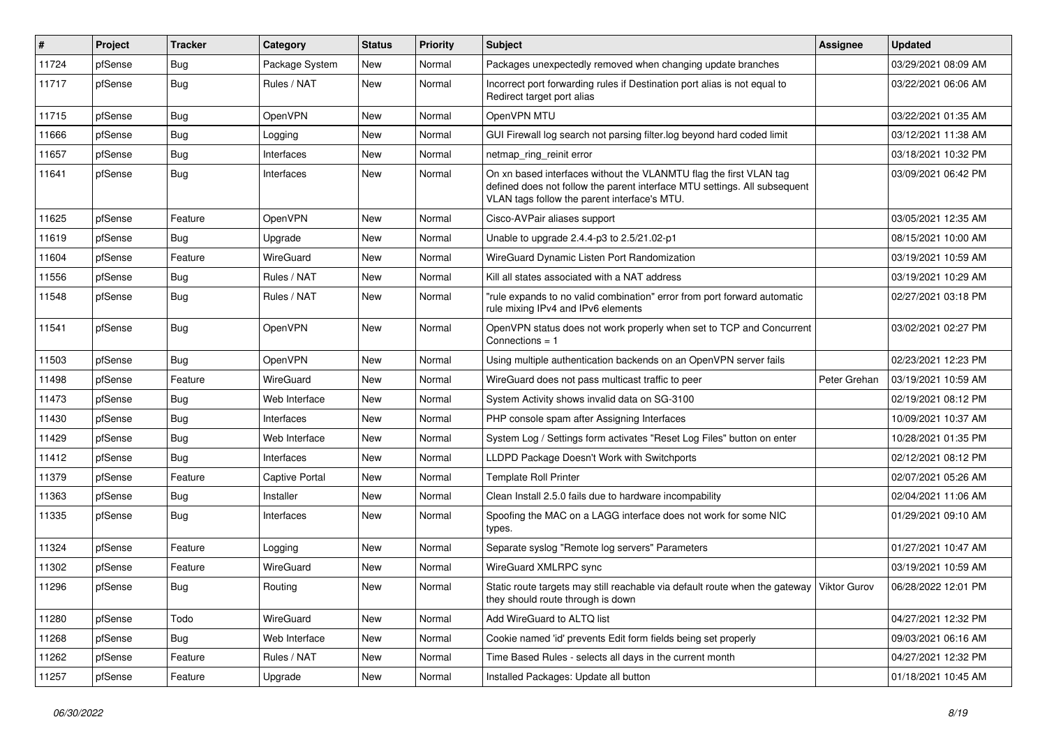| #     | Project | <b>Tracker</b> | Category              | <b>Status</b> | <b>Priority</b> | Subject                                                                                                                                                                                         | <b>Assignee</b> | <b>Updated</b>      |
|-------|---------|----------------|-----------------------|---------------|-----------------|-------------------------------------------------------------------------------------------------------------------------------------------------------------------------------------------------|-----------------|---------------------|
| 11724 | pfSense | <b>Bug</b>     | Package System        | New           | Normal          | Packages unexpectedly removed when changing update branches                                                                                                                                     |                 | 03/29/2021 08:09 AM |
| 11717 | pfSense | <b>Bug</b>     | Rules / NAT           | New           | Normal          | Incorrect port forwarding rules if Destination port alias is not equal to<br>Redirect target port alias                                                                                         |                 | 03/22/2021 06:06 AM |
| 11715 | pfSense | Bug            | OpenVPN               | New           | Normal          | OpenVPN MTU                                                                                                                                                                                     |                 | 03/22/2021 01:35 AM |
| 11666 | pfSense | <b>Bug</b>     | Logging               | New           | Normal          | GUI Firewall log search not parsing filter.log beyond hard coded limit                                                                                                                          |                 | 03/12/2021 11:38 AM |
| 11657 | pfSense | Bug            | Interfaces            | New           | Normal          | netmap_ring_reinit error                                                                                                                                                                        |                 | 03/18/2021 10:32 PM |
| 11641 | pfSense | Bug            | Interfaces            | New           | Normal          | On xn based interfaces without the VLANMTU flag the first VLAN tag<br>defined does not follow the parent interface MTU settings. All subsequent<br>VLAN tags follow the parent interface's MTU. |                 | 03/09/2021 06:42 PM |
| 11625 | pfSense | Feature        | OpenVPN               | New           | Normal          | Cisco-AVPair aliases support                                                                                                                                                                    |                 | 03/05/2021 12:35 AM |
| 11619 | pfSense | <b>Bug</b>     | Upgrade               | New           | Normal          | Unable to upgrade 2.4.4-p3 to 2.5/21.02-p1                                                                                                                                                      |                 | 08/15/2021 10:00 AM |
| 11604 | pfSense | Feature        | WireGuard             | New           | Normal          | WireGuard Dynamic Listen Port Randomization                                                                                                                                                     |                 | 03/19/2021 10:59 AM |
| 11556 | pfSense | Bug            | Rules / NAT           | New           | Normal          | Kill all states associated with a NAT address                                                                                                                                                   |                 | 03/19/2021 10:29 AM |
| 11548 | pfSense | Bug            | Rules / NAT           | <b>New</b>    | Normal          | "rule expands to no valid combination" error from port forward automatic<br>rule mixing IPv4 and IPv6 elements                                                                                  |                 | 02/27/2021 03:18 PM |
| 11541 | pfSense | Bug            | OpenVPN               | New           | Normal          | OpenVPN status does not work properly when set to TCP and Concurrent<br>Connections $= 1$                                                                                                       |                 | 03/02/2021 02:27 PM |
| 11503 | pfSense | Bug            | OpenVPN               | New           | Normal          | Using multiple authentication backends on an OpenVPN server fails                                                                                                                               |                 | 02/23/2021 12:23 PM |
| 11498 | pfSense | Feature        | WireGuard             | New           | Normal          | WireGuard does not pass multicast traffic to peer                                                                                                                                               | Peter Grehan    | 03/19/2021 10:59 AM |
| 11473 | pfSense | Bug            | Web Interface         | New           | Normal          | System Activity shows invalid data on SG-3100                                                                                                                                                   |                 | 02/19/2021 08:12 PM |
| 11430 | pfSense | <b>Bug</b>     | Interfaces            | New           | Normal          | PHP console spam after Assigning Interfaces                                                                                                                                                     |                 | 10/09/2021 10:37 AM |
| 11429 | pfSense | <b>Bug</b>     | Web Interface         | New           | Normal          | System Log / Settings form activates "Reset Log Files" button on enter                                                                                                                          |                 | 10/28/2021 01:35 PM |
| 11412 | pfSense | <b>Bug</b>     | Interfaces            | New           | Normal          | LLDPD Package Doesn't Work with Switchports                                                                                                                                                     |                 | 02/12/2021 08:12 PM |
| 11379 | pfSense | Feature        | <b>Captive Portal</b> | New           | Normal          | <b>Template Roll Printer</b>                                                                                                                                                                    |                 | 02/07/2021 05:26 AM |
| 11363 | pfSense | Bug            | Installer             | New           | Normal          | Clean Install 2.5.0 fails due to hardware incompability                                                                                                                                         |                 | 02/04/2021 11:06 AM |
| 11335 | pfSense | Bug            | Interfaces            | New           | Normal          | Spoofing the MAC on a LAGG interface does not work for some NIC<br>types.                                                                                                                       |                 | 01/29/2021 09:10 AM |
| 11324 | pfSense | Feature        | Logging               | New           | Normal          | Separate syslog "Remote log servers" Parameters                                                                                                                                                 |                 | 01/27/2021 10:47 AM |
| 11302 | pfSense | Feature        | WireGuard             | <b>New</b>    | Normal          | WireGuard XMLRPC sync                                                                                                                                                                           |                 | 03/19/2021 10:59 AM |
| 11296 | pfSense | Bug            | Routing               | <b>New</b>    | Normal          | Static route targets may still reachable via default route when the gateway   Viktor Gurov<br>they should route through is down                                                                 |                 | 06/28/2022 12:01 PM |
| 11280 | pfSense | Todo           | WireGuard             | New           | Normal          | Add WireGuard to ALTQ list                                                                                                                                                                      |                 | 04/27/2021 12:32 PM |
| 11268 | pfSense | <b>Bug</b>     | Web Interface         | New           | Normal          | Cookie named 'id' prevents Edit form fields being set properly                                                                                                                                  |                 | 09/03/2021 06:16 AM |
| 11262 | pfSense | Feature        | Rules / NAT           | New           | Normal          | Time Based Rules - selects all days in the current month                                                                                                                                        |                 | 04/27/2021 12:32 PM |
| 11257 | pfSense | Feature        | Upgrade               | New           | Normal          | Installed Packages: Update all button                                                                                                                                                           |                 | 01/18/2021 10:45 AM |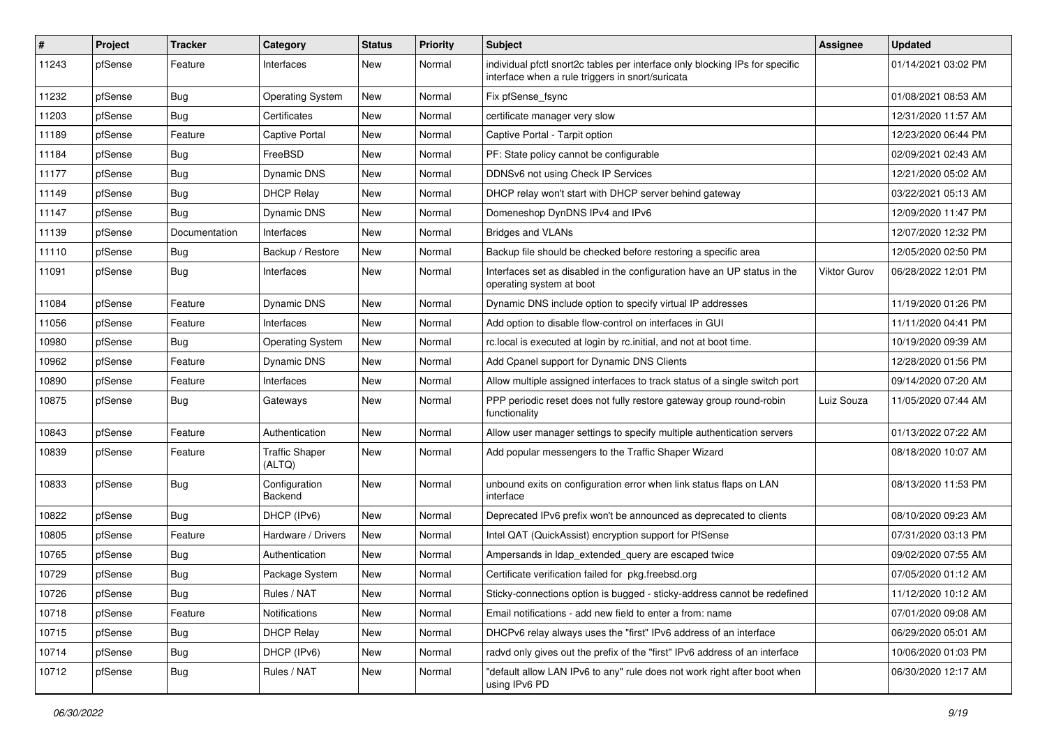| #     | Project | <b>Tracker</b> | Category                        | <b>Status</b> | <b>Priority</b> | <b>Subject</b>                                                                                                                   | Assignee            | <b>Updated</b>      |
|-------|---------|----------------|---------------------------------|---------------|-----------------|----------------------------------------------------------------------------------------------------------------------------------|---------------------|---------------------|
| 11243 | pfSense | Feature        | Interfaces                      | New           | Normal          | individual pfctl snort2c tables per interface only blocking IPs for specific<br>interface when a rule triggers in snort/suricata |                     | 01/14/2021 03:02 PM |
| 11232 | pfSense | Bug            | <b>Operating System</b>         | New           | Normal          | Fix pfSense_fsync                                                                                                                |                     | 01/08/2021 08:53 AM |
| 11203 | pfSense | <b>Bug</b>     | Certificates                    | New           | Normal          | certificate manager very slow                                                                                                    |                     | 12/31/2020 11:57 AM |
| 11189 | pfSense | Feature        | <b>Captive Portal</b>           | New           | Normal          | Captive Portal - Tarpit option                                                                                                   |                     | 12/23/2020 06:44 PM |
| 11184 | pfSense | <b>Bug</b>     | FreeBSD                         | <b>New</b>    | Normal          | PF: State policy cannot be configurable                                                                                          |                     | 02/09/2021 02:43 AM |
| 11177 | pfSense | <b>Bug</b>     | Dynamic DNS                     | New           | Normal          | DDNSv6 not using Check IP Services                                                                                               |                     | 12/21/2020 05:02 AM |
| 11149 | pfSense | <b>Bug</b>     | <b>DHCP Relay</b>               | New           | Normal          | DHCP relay won't start with DHCP server behind gateway                                                                           |                     | 03/22/2021 05:13 AM |
| 11147 | pfSense | <b>Bug</b>     | Dynamic DNS                     | New           | Normal          | Domeneshop DynDNS IPv4 and IPv6                                                                                                  |                     | 12/09/2020 11:47 PM |
| 11139 | pfSense | Documentation  | Interfaces                      | <b>New</b>    | Normal          | <b>Bridges and VLANs</b>                                                                                                         |                     | 12/07/2020 12:32 PM |
| 11110 | pfSense | Bug            | Backup / Restore                | New           | Normal          | Backup file should be checked before restoring a specific area                                                                   |                     | 12/05/2020 02:50 PM |
| 11091 | pfSense | <b>Bug</b>     | Interfaces                      | New           | Normal          | Interfaces set as disabled in the configuration have an UP status in the<br>operating system at boot                             | <b>Viktor Gurov</b> | 06/28/2022 12:01 PM |
| 11084 | pfSense | Feature        | Dynamic DNS                     | New           | Normal          | Dynamic DNS include option to specify virtual IP addresses                                                                       |                     | 11/19/2020 01:26 PM |
| 11056 | pfSense | Feature        | Interfaces                      | New           | Normal          | Add option to disable flow-control on interfaces in GUI                                                                          |                     | 11/11/2020 04:41 PM |
| 10980 | pfSense | <b>Bug</b>     | <b>Operating System</b>         | New           | Normal          | rc.local is executed at login by rc.initial, and not at boot time.                                                               |                     | 10/19/2020 09:39 AM |
| 10962 | pfSense | Feature        | Dynamic DNS                     | New           | Normal          | Add Cpanel support for Dynamic DNS Clients                                                                                       |                     | 12/28/2020 01:56 PM |
| 10890 | pfSense | Feature        | Interfaces                      | New           | Normal          | Allow multiple assigned interfaces to track status of a single switch port                                                       |                     | 09/14/2020 07:20 AM |
| 10875 | pfSense | <b>Bug</b>     | Gateways                        | New           | Normal          | PPP periodic reset does not fully restore gateway group round-robin<br>functionality                                             | Luiz Souza          | 11/05/2020 07:44 AM |
| 10843 | pfSense | Feature        | Authentication                  | <b>New</b>    | Normal          | Allow user manager settings to specify multiple authentication servers                                                           |                     | 01/13/2022 07:22 AM |
| 10839 | pfSense | Feature        | <b>Traffic Shaper</b><br>(ALTQ) | New           | Normal          | Add popular messengers to the Traffic Shaper Wizard                                                                              |                     | 08/18/2020 10:07 AM |
| 10833 | pfSense | Bug            | Configuration<br>Backend        | New           | Normal          | unbound exits on configuration error when link status flaps on LAN<br>interface                                                  |                     | 08/13/2020 11:53 PM |
| 10822 | pfSense | Bug            | DHCP (IPv6)                     | <b>New</b>    | Normal          | Deprecated IPv6 prefix won't be announced as deprecated to clients                                                               |                     | 08/10/2020 09:23 AM |
| 10805 | pfSense | Feature        | Hardware / Drivers              | New           | Normal          | Intel QAT (QuickAssist) encryption support for PfSense                                                                           |                     | 07/31/2020 03:13 PM |
| 10765 | pfSense | <b>Bug</b>     | Authentication                  | New           | Normal          | Ampersands in Idap_extended_query are escaped twice                                                                              |                     | 09/02/2020 07:55 AM |
| 10729 | pfSense | <b>Bug</b>     | Package System                  | <b>New</b>    | Normal          | Certificate verification failed for pkg.freebsd.org                                                                              |                     | 07/05/2020 01:12 AM |
| 10726 | pfSense | Bug            | Rules / NAT                     | New           | Normal          | Sticky-connections option is bugged - sticky-address cannot be redefined                                                         |                     | 11/12/2020 10:12 AM |
| 10718 | pfSense | Feature        | Notifications                   | New           | Normal          | Email notifications - add new field to enter a from: name                                                                        |                     | 07/01/2020 09:08 AM |
| 10715 | pfSense | <b>Bug</b>     | <b>DHCP Relay</b>               | New           | Normal          | DHCPv6 relay always uses the "first" IPv6 address of an interface                                                                |                     | 06/29/2020 05:01 AM |
| 10714 | pfSense | <b>Bug</b>     | DHCP (IPv6)                     | New           | Normal          | radvd only gives out the prefix of the "first" IPv6 address of an interface                                                      |                     | 10/06/2020 01:03 PM |
| 10712 | pfSense | Bug            | Rules / NAT                     | New           | Normal          | "default allow LAN IPv6 to any" rule does not work right after boot when<br>using IPv6 PD                                        |                     | 06/30/2020 12:17 AM |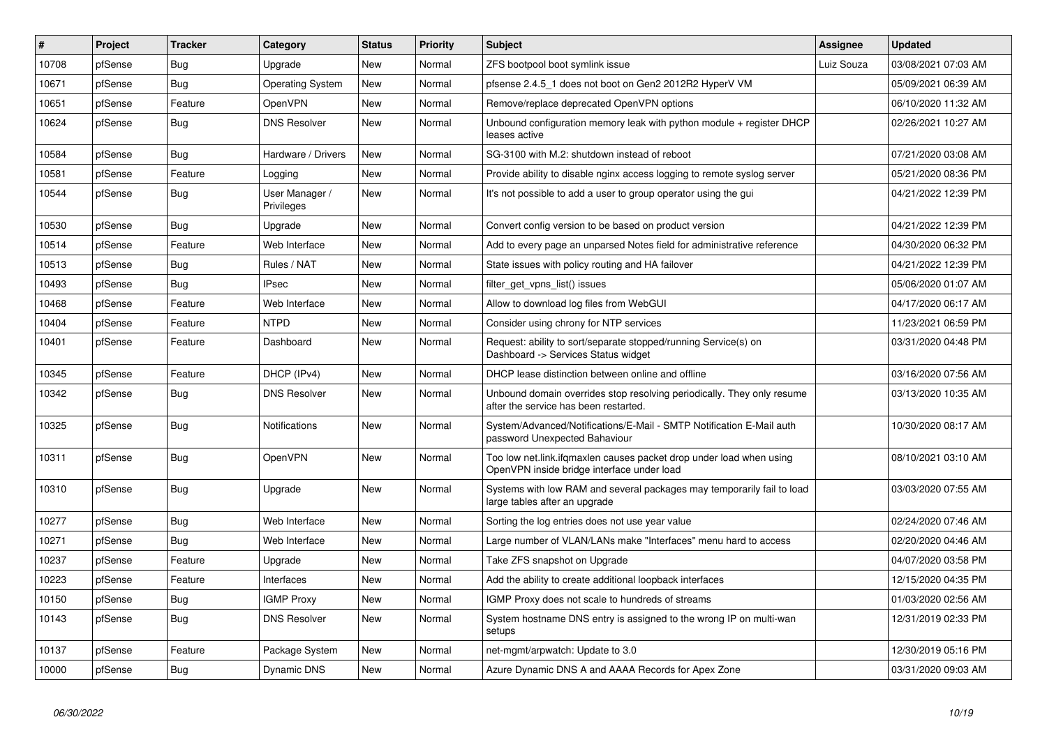| $\sharp$ | Project | <b>Tracker</b> | Category                     | <b>Status</b> | <b>Priority</b> | <b>Subject</b>                                                                                                    | <b>Assignee</b> | <b>Updated</b>      |
|----------|---------|----------------|------------------------------|---------------|-----------------|-------------------------------------------------------------------------------------------------------------------|-----------------|---------------------|
| 10708    | pfSense | Bug            | Upgrade                      | <b>New</b>    | Normal          | ZFS bootpool boot symlink issue                                                                                   | Luiz Souza      | 03/08/2021 07:03 AM |
| 10671    | pfSense | Bug            | <b>Operating System</b>      | <b>New</b>    | Normal          | pfsense 2.4.5_1 does not boot on Gen2 2012R2 HyperV VM                                                            |                 | 05/09/2021 06:39 AM |
| 10651    | pfSense | Feature        | OpenVPN                      | New           | Normal          | Remove/replace deprecated OpenVPN options                                                                         |                 | 06/10/2020 11:32 AM |
| 10624    | pfSense | <b>Bug</b>     | <b>DNS Resolver</b>          | <b>New</b>    | Normal          | Unbound configuration memory leak with python module + register DHCP<br>leases active                             |                 | 02/26/2021 10:27 AM |
| 10584    | pfSense | <b>Bug</b>     | Hardware / Drivers           | <b>New</b>    | Normal          | SG-3100 with M.2: shutdown instead of reboot                                                                      |                 | 07/21/2020 03:08 AM |
| 10581    | pfSense | Feature        | Logging                      | <b>New</b>    | Normal          | Provide ability to disable nginx access logging to remote syslog server                                           |                 | 05/21/2020 08:36 PM |
| 10544    | pfSense | <b>Bug</b>     | User Manager /<br>Privileges | <b>New</b>    | Normal          | It's not possible to add a user to group operator using the gui                                                   |                 | 04/21/2022 12:39 PM |
| 10530    | pfSense | Bug            | Upgrade                      | <b>New</b>    | Normal          | Convert config version to be based on product version                                                             |                 | 04/21/2022 12:39 PM |
| 10514    | pfSense | Feature        | Web Interface                | <b>New</b>    | Normal          | Add to every page an unparsed Notes field for administrative reference                                            |                 | 04/30/2020 06:32 PM |
| 10513    | pfSense | <b>Bug</b>     | Rules / NAT                  | New           | Normal          | State issues with policy routing and HA failover                                                                  |                 | 04/21/2022 12:39 PM |
| 10493    | pfSense | Bug            | <b>IPsec</b>                 | New           | Normal          | filter_get_vpns_list() issues                                                                                     |                 | 05/06/2020 01:07 AM |
| 10468    | pfSense | Feature        | Web Interface                | <b>New</b>    | Normal          | Allow to download log files from WebGUI                                                                           |                 | 04/17/2020 06:17 AM |
| 10404    | pfSense | Feature        | <b>NTPD</b>                  | <b>New</b>    | Normal          | Consider using chrony for NTP services                                                                            |                 | 11/23/2021 06:59 PM |
| 10401    | pfSense | Feature        | Dashboard                    | <b>New</b>    | Normal          | Request: ability to sort/separate stopped/running Service(s) on<br>Dashboard -> Services Status widget            |                 | 03/31/2020 04:48 PM |
| 10345    | pfSense | Feature        | DHCP (IPv4)                  | New           | Normal          | DHCP lease distinction between online and offline                                                                 |                 | 03/16/2020 07:56 AM |
| 10342    | pfSense | <b>Bug</b>     | <b>DNS Resolver</b>          | <b>New</b>    | Normal          | Unbound domain overrides stop resolving periodically. They only resume<br>after the service has been restarted.   |                 | 03/13/2020 10:35 AM |
| 10325    | pfSense | Bug            | Notifications                | New           | Normal          | System/Advanced/Notifications/E-Mail - SMTP Notification E-Mail auth<br>password Unexpected Bahaviour             |                 | 10/30/2020 08:17 AM |
| 10311    | pfSense | <b>Bug</b>     | OpenVPN                      | New           | Normal          | Too low net.link.ifqmaxlen causes packet drop under load when using<br>OpenVPN inside bridge interface under load |                 | 08/10/2021 03:10 AM |
| 10310    | pfSense | Bug            | Upgrade                      | <b>New</b>    | Normal          | Systems with low RAM and several packages may temporarily fail to load<br>large tables after an upgrade           |                 | 03/03/2020 07:55 AM |
| 10277    | pfSense | <b>Bug</b>     | Web Interface                | <b>New</b>    | Normal          | Sorting the log entries does not use year value                                                                   |                 | 02/24/2020 07:46 AM |
| 10271    | pfSense | <b>Bug</b>     | Web Interface                | <b>New</b>    | Normal          | Large number of VLAN/LANs make "Interfaces" menu hard to access                                                   |                 | 02/20/2020 04:46 AM |
| 10237    | pfSense | Feature        | Upgrade                      | New           | Normal          | Take ZFS snapshot on Upgrade                                                                                      |                 | 04/07/2020 03:58 PM |
| 10223    | pfSense | Feature        | Interfaces                   | <b>New</b>    | Normal          | Add the ability to create additional loopback interfaces                                                          |                 | 12/15/2020 04:35 PM |
| 10150    | pfSense | Bug            | <b>IGMP Proxy</b>            | <b>New</b>    | Normal          | IGMP Proxy does not scale to hundreds of streams                                                                  |                 | 01/03/2020 02:56 AM |
| 10143    | pfSense | Bug            | <b>DNS Resolver</b>          | <b>New</b>    | Normal          | System hostname DNS entry is assigned to the wrong IP on multi-wan<br>setups                                      |                 | 12/31/2019 02:33 PM |
| 10137    | pfSense | Feature        | Package System               | New           | Normal          | net-mgmt/arpwatch: Update to 3.0                                                                                  |                 | 12/30/2019 05:16 PM |
| 10000    | pfSense | Bug            | Dynamic DNS                  | New           | Normal          | Azure Dynamic DNS A and AAAA Records for Apex Zone                                                                |                 | 03/31/2020 09:03 AM |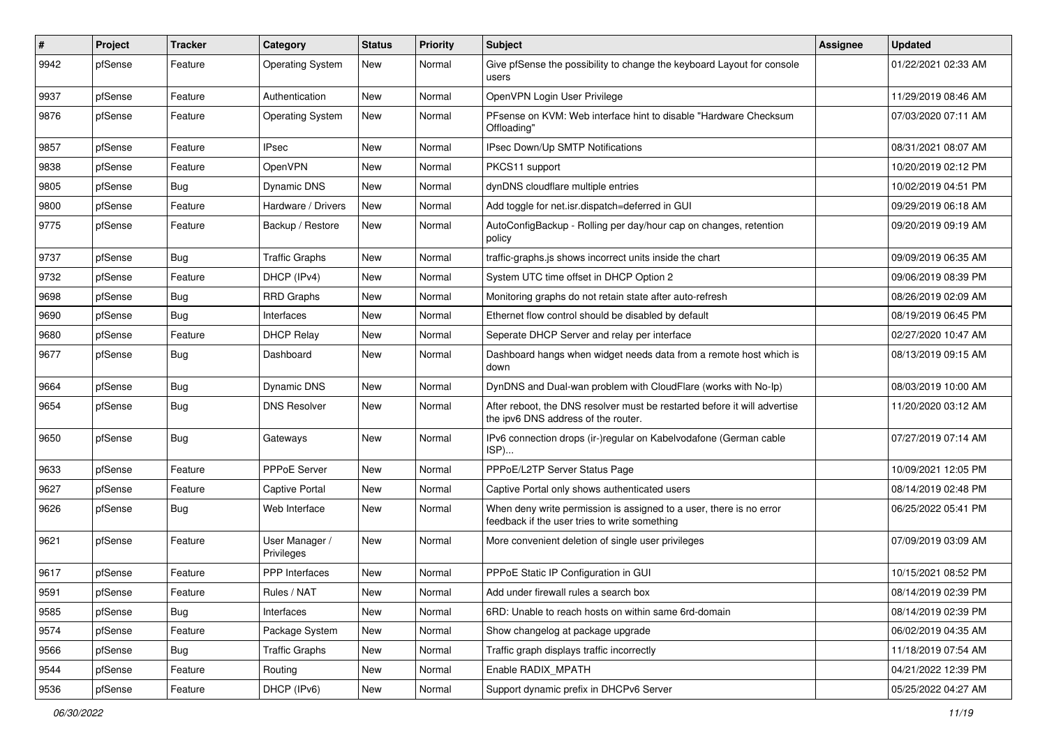| #    | Project | <b>Tracker</b> | Category                     | <b>Status</b> | <b>Priority</b> | <b>Subject</b>                                                                                                       | Assignee | <b>Updated</b>      |
|------|---------|----------------|------------------------------|---------------|-----------------|----------------------------------------------------------------------------------------------------------------------|----------|---------------------|
| 9942 | pfSense | Feature        | <b>Operating System</b>      | New           | Normal          | Give pfSense the possibility to change the keyboard Layout for console<br>users                                      |          | 01/22/2021 02:33 AM |
| 9937 | pfSense | Feature        | Authentication               | New           | Normal          | OpenVPN Login User Privilege                                                                                         |          | 11/29/2019 08:46 AM |
| 9876 | pfSense | Feature        | <b>Operating System</b>      | <b>New</b>    | Normal          | PFsense on KVM: Web interface hint to disable "Hardware Checksum<br>Offloading'                                      |          | 07/03/2020 07:11 AM |
| 9857 | pfSense | Feature        | <b>IPsec</b>                 | New           | Normal          | IPsec Down/Up SMTP Notifications                                                                                     |          | 08/31/2021 08:07 AM |
| 9838 | pfSense | Feature        | OpenVPN                      | New           | Normal          | PKCS11 support                                                                                                       |          | 10/20/2019 02:12 PM |
| 9805 | pfSense | <b>Bug</b>     | <b>Dynamic DNS</b>           | New           | Normal          | dynDNS cloudflare multiple entries                                                                                   |          | 10/02/2019 04:51 PM |
| 9800 | pfSense | Feature        | Hardware / Drivers           | <b>New</b>    | Normal          | Add toggle for net.isr.dispatch=deferred in GUI                                                                      |          | 09/29/2019 06:18 AM |
| 9775 | pfSense | Feature        | Backup / Restore             | New           | Normal          | AutoConfigBackup - Rolling per day/hour cap on changes, retention<br>policv                                          |          | 09/20/2019 09:19 AM |
| 9737 | pfSense | Bug            | <b>Traffic Graphs</b>        | New           | Normal          | traffic-graphs.js shows incorrect units inside the chart                                                             |          | 09/09/2019 06:35 AM |
| 9732 | pfSense | Feature        | DHCP (IPv4)                  | New           | Normal          | System UTC time offset in DHCP Option 2                                                                              |          | 09/06/2019 08:39 PM |
| 9698 | pfSense | <b>Bug</b>     | <b>RRD Graphs</b>            | New           | Normal          | Monitoring graphs do not retain state after auto-refresh                                                             |          | 08/26/2019 02:09 AM |
| 9690 | pfSense | <b>Bug</b>     | Interfaces                   | New           | Normal          | Ethernet flow control should be disabled by default                                                                  |          | 08/19/2019 06:45 PM |
| 9680 | pfSense | Feature        | <b>DHCP Relay</b>            | New           | Normal          | Seperate DHCP Server and relay per interface                                                                         |          | 02/27/2020 10:47 AM |
| 9677 | pfSense | Bug            | Dashboard                    | New           | Normal          | Dashboard hangs when widget needs data from a remote host which is<br>down                                           |          | 08/13/2019 09:15 AM |
| 9664 | pfSense | Bug            | Dynamic DNS                  | New           | Normal          | DynDNS and Dual-wan problem with CloudFlare (works with No-Ip)                                                       |          | 08/03/2019 10:00 AM |
| 9654 | pfSense | <b>Bug</b>     | <b>DNS Resolver</b>          | New           | Normal          | After reboot, the DNS resolver must be restarted before it will advertise<br>the ipv6 DNS address of the router.     |          | 11/20/2020 03:12 AM |
| 9650 | pfSense | Bug            | Gateways                     | New           | Normal          | IPv6 connection drops (ir-)regular on Kabelvodafone (German cable<br>ISP)                                            |          | 07/27/2019 07:14 AM |
| 9633 | pfSense | Feature        | PPPoE Server                 | New           | Normal          | PPPoE/L2TP Server Status Page                                                                                        |          | 10/09/2021 12:05 PM |
| 9627 | pfSense | Feature        | Captive Portal               | New           | Normal          | Captive Portal only shows authenticated users                                                                        |          | 08/14/2019 02:48 PM |
| 9626 | pfSense | Bug            | Web Interface                | New           | Normal          | When deny write permission is assigned to a user, there is no error<br>feedback if the user tries to write something |          | 06/25/2022 05:41 PM |
| 9621 | pfSense | Feature        | User Manager /<br>Privileges | New           | Normal          | More convenient deletion of single user privileges                                                                   |          | 07/09/2019 03:09 AM |
| 9617 | pfSense | Feature        | PPP Interfaces               | New           | Normal          | PPPoE Static IP Configuration in GUI                                                                                 |          | 10/15/2021 08:52 PM |
| 9591 | pfSense | Feature        | Rules / NAT                  | New           | Normal          | Add under firewall rules a search box                                                                                |          | 08/14/2019 02:39 PM |
| 9585 | pfSense | Bug            | Interfaces                   | New           | Normal          | 6RD: Unable to reach hosts on within same 6rd-domain                                                                 |          | 08/14/2019 02:39 PM |
| 9574 | pfSense | Feature        | Package System               | New           | Normal          | Show changelog at package upgrade                                                                                    |          | 06/02/2019 04:35 AM |
| 9566 | pfSense | Bug            | <b>Traffic Graphs</b>        | New           | Normal          | Traffic graph displays traffic incorrectly                                                                           |          | 11/18/2019 07:54 AM |
| 9544 | pfSense | Feature        | Routing                      | New           | Normal          | Enable RADIX_MPATH                                                                                                   |          | 04/21/2022 12:39 PM |
| 9536 | pfSense | Feature        | DHCP (IPv6)                  | New           | Normal          | Support dynamic prefix in DHCPv6 Server                                                                              |          | 05/25/2022 04:27 AM |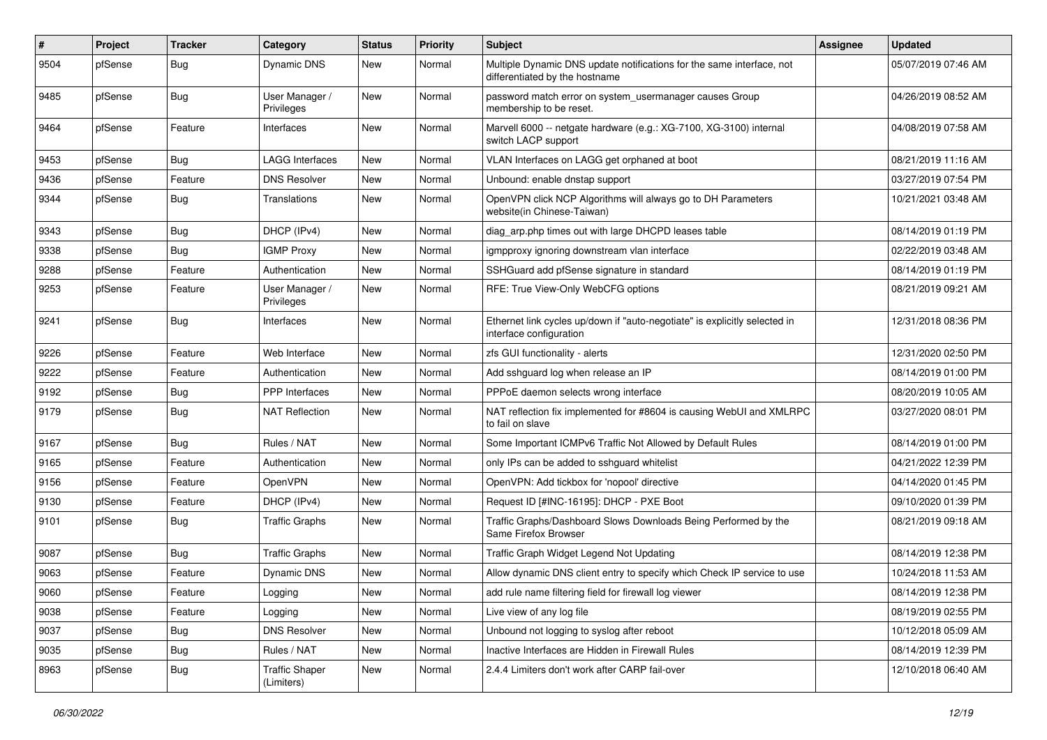| #    | Project | <b>Tracker</b> | Category                            | <b>Status</b> | <b>Priority</b> | Subject                                                                                                 | Assignee | <b>Updated</b>      |
|------|---------|----------------|-------------------------------------|---------------|-----------------|---------------------------------------------------------------------------------------------------------|----------|---------------------|
| 9504 | pfSense | Bug            | Dynamic DNS                         | New           | Normal          | Multiple Dynamic DNS update notifications for the same interface, not<br>differentiated by the hostname |          | 05/07/2019 07:46 AM |
| 9485 | pfSense | Bug            | User Manager /<br>Privileges        | New           | Normal          | password match error on system_usermanager causes Group<br>membership to be reset.                      |          | 04/26/2019 08:52 AM |
| 9464 | pfSense | Feature        | Interfaces                          | New           | Normal          | Marvell 6000 -- netgate hardware (e.g.: XG-7100, XG-3100) internal<br>switch LACP support               |          | 04/08/2019 07:58 AM |
| 9453 | pfSense | Bug            | <b>LAGG Interfaces</b>              | New           | Normal          | VLAN Interfaces on LAGG get orphaned at boot                                                            |          | 08/21/2019 11:16 AM |
| 9436 | pfSense | Feature        | <b>DNS Resolver</b>                 | New           | Normal          | Unbound: enable dnstap support                                                                          |          | 03/27/2019 07:54 PM |
| 9344 | pfSense | Bug            | Translations                        | New           | Normal          | OpenVPN click NCP Algorithms will always go to DH Parameters<br>website(in Chinese-Taiwan)              |          | 10/21/2021 03:48 AM |
| 9343 | pfSense | Bug            | DHCP (IPv4)                         | New           | Normal          | diag_arp.php times out with large DHCPD leases table                                                    |          | 08/14/2019 01:19 PM |
| 9338 | pfSense | <b>Bug</b>     | <b>IGMP Proxy</b>                   | New           | Normal          | igmpproxy ignoring downstream vlan interface                                                            |          | 02/22/2019 03:48 AM |
| 9288 | pfSense | Feature        | Authentication                      | New           | Normal          | SSHGuard add pfSense signature in standard                                                              |          | 08/14/2019 01:19 PM |
| 9253 | pfSense | Feature        | User Manager /<br>Privileges        | New           | Normal          | RFE: True View-Only WebCFG options                                                                      |          | 08/21/2019 09:21 AM |
| 9241 | pfSense | Bug            | Interfaces                          | <b>New</b>    | Normal          | Ethernet link cycles up/down if "auto-negotiate" is explicitly selected in<br>interface configuration   |          | 12/31/2018 08:36 PM |
| 9226 | pfSense | Feature        | Web Interface                       | New           | Normal          | zfs GUI functionality - alerts                                                                          |          | 12/31/2020 02:50 PM |
| 9222 | pfSense | Feature        | Authentication                      | New           | Normal          | Add sshguard log when release an IP                                                                     |          | 08/14/2019 01:00 PM |
| 9192 | pfSense | <b>Bug</b>     | <b>PPP</b> Interfaces               | New           | Normal          | PPPoE daemon selects wrong interface                                                                    |          | 08/20/2019 10:05 AM |
| 9179 | pfSense | Bug            | <b>NAT Reflection</b>               | New           | Normal          | NAT reflection fix implemented for #8604 is causing WebUI and XMLRPC<br>to fail on slave                |          | 03/27/2020 08:01 PM |
| 9167 | pfSense | Bug            | Rules / NAT                         | New           | Normal          | Some Important ICMPv6 Traffic Not Allowed by Default Rules                                              |          | 08/14/2019 01:00 PM |
| 9165 | pfSense | Feature        | Authentication                      | New           | Normal          | only IPs can be added to sshguard whitelist                                                             |          | 04/21/2022 12:39 PM |
| 9156 | pfSense | Feature        | OpenVPN                             | New           | Normal          | OpenVPN: Add tickbox for 'nopool' directive                                                             |          | 04/14/2020 01:45 PM |
| 9130 | pfSense | Feature        | DHCP (IPv4)                         | New           | Normal          | Request ID [#INC-16195]: DHCP - PXE Boot                                                                |          | 09/10/2020 01:39 PM |
| 9101 | pfSense | Bug            | <b>Traffic Graphs</b>               | New           | Normal          | Traffic Graphs/Dashboard Slows Downloads Being Performed by the<br>Same Firefox Browser                 |          | 08/21/2019 09:18 AM |
| 9087 | pfSense | Bug            | <b>Traffic Graphs</b>               | <b>New</b>    | Normal          | Traffic Graph Widget Legend Not Updating                                                                |          | 08/14/2019 12:38 PM |
| 9063 | pfSense | Feature        | Dynamic DNS                         | New           | Normal          | Allow dynamic DNS client entry to specify which Check IP service to use                                 |          | 10/24/2018 11:53 AM |
| 9060 | pfSense | Feature        | Logging                             | New           | Normal          | add rule name filtering field for firewall log viewer                                                   |          | 08/14/2019 12:38 PM |
| 9038 | pfSense | Feature        | Logging                             | New           | Normal          | Live view of any log file                                                                               |          | 08/19/2019 02:55 PM |
| 9037 | pfSense | Bug            | <b>DNS Resolver</b>                 | New           | Normal          | Unbound not logging to syslog after reboot                                                              |          | 10/12/2018 05:09 AM |
| 9035 | pfSense | Bug            | Rules / NAT                         | New           | Normal          | Inactive Interfaces are Hidden in Firewall Rules                                                        |          | 08/14/2019 12:39 PM |
| 8963 | pfSense | <b>Bug</b>     | <b>Traffic Shaper</b><br>(Limiters) | New           | Normal          | 2.4.4 Limiters don't work after CARP fail-over                                                          |          | 12/10/2018 06:40 AM |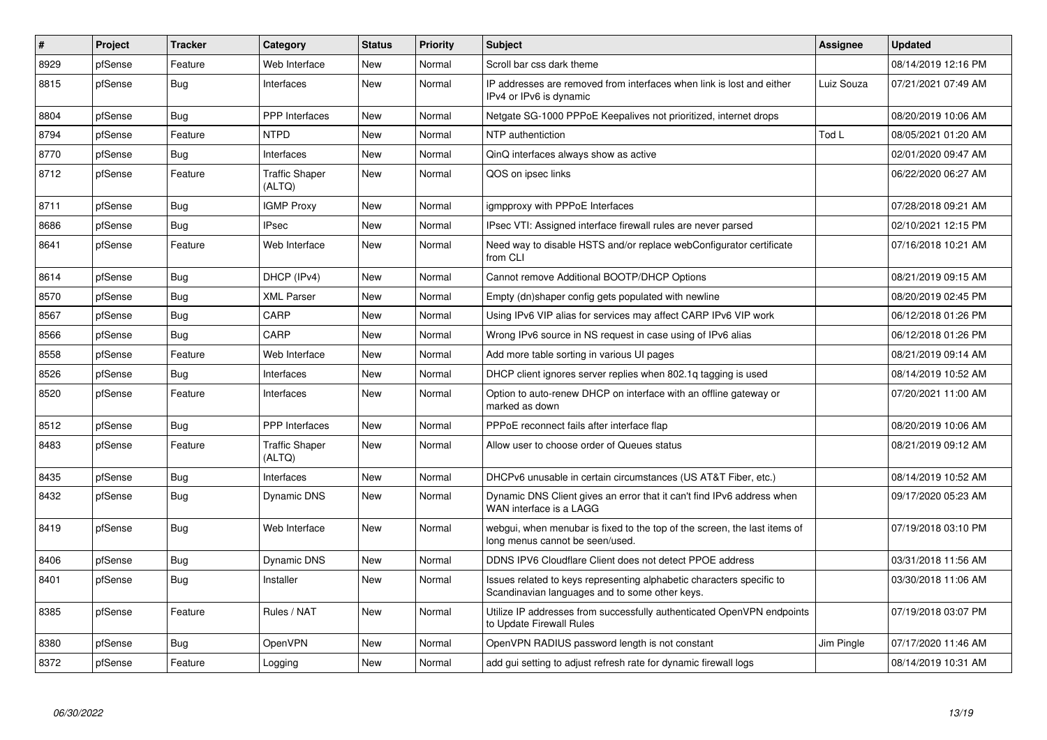| #    | Project | <b>Tracker</b> | Category                        | <b>Status</b> | <b>Priority</b> | <b>Subject</b>                                                                                                          | Assignee   | <b>Updated</b>      |
|------|---------|----------------|---------------------------------|---------------|-----------------|-------------------------------------------------------------------------------------------------------------------------|------------|---------------------|
| 8929 | pfSense | Feature        | Web Interface                   | <b>New</b>    | Normal          | Scroll bar css dark theme                                                                                               |            | 08/14/2019 12:16 PM |
| 8815 | pfSense | Bug            | Interfaces                      | New           | Normal          | IP addresses are removed from interfaces when link is lost and either<br>IPv4 or IPv6 is dynamic                        | Luiz Souza | 07/21/2021 07:49 AM |
| 8804 | pfSense | Bug            | <b>PPP</b> Interfaces           | New           | Normal          | Netgate SG-1000 PPPoE Keepalives not prioritized, internet drops                                                        |            | 08/20/2019 10:06 AM |
| 8794 | pfSense | Feature        | <b>NTPD</b>                     | <b>New</b>    | Normal          | NTP authentiction                                                                                                       | Tod L      | 08/05/2021 01:20 AM |
| 8770 | pfSense | <b>Bug</b>     | Interfaces                      | New           | Normal          | QinQ interfaces always show as active                                                                                   |            | 02/01/2020 09:47 AM |
| 8712 | pfSense | Feature        | <b>Traffic Shaper</b><br>(ALTQ) | <b>New</b>    | Normal          | QOS on ipsec links                                                                                                      |            | 06/22/2020 06:27 AM |
| 8711 | pfSense | <b>Bug</b>     | <b>IGMP Proxy</b>               | <b>New</b>    | Normal          | igmpproxy with PPPoE Interfaces                                                                                         |            | 07/28/2018 09:21 AM |
| 8686 | pfSense | Bug            | <b>IPsec</b>                    | New           | Normal          | IPsec VTI: Assigned interface firewall rules are never parsed                                                           |            | 02/10/2021 12:15 PM |
| 8641 | pfSense | Feature        | Web Interface                   | New           | Normal          | Need way to disable HSTS and/or replace webConfigurator certificate<br>from CLI                                         |            | 07/16/2018 10:21 AM |
| 8614 | pfSense | Bug            | DHCP (IPv4)                     | New           | Normal          | Cannot remove Additional BOOTP/DHCP Options                                                                             |            | 08/21/2019 09:15 AM |
| 8570 | pfSense | <b>Bug</b>     | <b>XML Parser</b>               | <b>New</b>    | Normal          | Empty (dn)shaper config gets populated with newline                                                                     |            | 08/20/2019 02:45 PM |
| 8567 | pfSense | <b>Bug</b>     | CARP                            | New           | Normal          | Using IPv6 VIP alias for services may affect CARP IPv6 VIP work                                                         |            | 06/12/2018 01:26 PM |
| 8566 | pfSense | <b>Bug</b>     | CARP                            | <b>New</b>    | Normal          | Wrong IPv6 source in NS request in case using of IPv6 alias                                                             |            | 06/12/2018 01:26 PM |
| 8558 | pfSense | Feature        | Web Interface                   | <b>New</b>    | Normal          | Add more table sorting in various UI pages                                                                              |            | 08/21/2019 09:14 AM |
| 8526 | pfSense | Bug            | Interfaces                      | <b>New</b>    | Normal          | DHCP client ignores server replies when 802.1q tagging is used                                                          |            | 08/14/2019 10:52 AM |
| 8520 | pfSense | Feature        | Interfaces                      | <b>New</b>    | Normal          | Option to auto-renew DHCP on interface with an offline gateway or<br>marked as down                                     |            | 07/20/2021 11:00 AM |
| 8512 | pfSense | Bug            | <b>PPP</b> Interfaces           | <b>New</b>    | Normal          | PPPoE reconnect fails after interface flap                                                                              |            | 08/20/2019 10:06 AM |
| 8483 | pfSense | Feature        | <b>Traffic Shaper</b><br>(ALTQ) | <b>New</b>    | Normal          | Allow user to choose order of Queues status                                                                             |            | 08/21/2019 09:12 AM |
| 8435 | pfSense | Bug            | Interfaces                      | <b>New</b>    | Normal          | DHCPv6 unusable in certain circumstances (US AT&T Fiber, etc.)                                                          |            | 08/14/2019 10:52 AM |
| 8432 | pfSense | Bug            | Dynamic DNS                     | <b>New</b>    | Normal          | Dynamic DNS Client gives an error that it can't find IPv6 address when<br>WAN interface is a LAGG                       |            | 09/17/2020 05:23 AM |
| 8419 | pfSense | Bug            | Web Interface                   | <b>New</b>    | Normal          | webgui, when menubar is fixed to the top of the screen, the last items of<br>long menus cannot be seen/used.            |            | 07/19/2018 03:10 PM |
| 8406 | pfSense | Bug            | Dynamic DNS                     | New           | Normal          | DDNS IPV6 Cloudflare Client does not detect PPOE address                                                                |            | 03/31/2018 11:56 AM |
| 8401 | pfSense | Bug            | Installer                       | <b>New</b>    | Normal          | Issues related to keys representing alphabetic characters specific to<br>Scandinavian languages and to some other keys. |            | 03/30/2018 11:06 AM |
| 8385 | pfSense | Feature        | Rules / NAT                     | <b>New</b>    | Normal          | Utilize IP addresses from successfully authenticated OpenVPN endpoints<br>to Update Firewall Rules                      |            | 07/19/2018 03:07 PM |
| 8380 | pfSense | Bug            | OpenVPN                         | New           | Normal          | OpenVPN RADIUS password length is not constant                                                                          | Jim Pingle | 07/17/2020 11:46 AM |
| 8372 | pfSense | Feature        | Logging                         | <b>New</b>    | Normal          | add gui setting to adjust refresh rate for dynamic firewall logs                                                        |            | 08/14/2019 10:31 AM |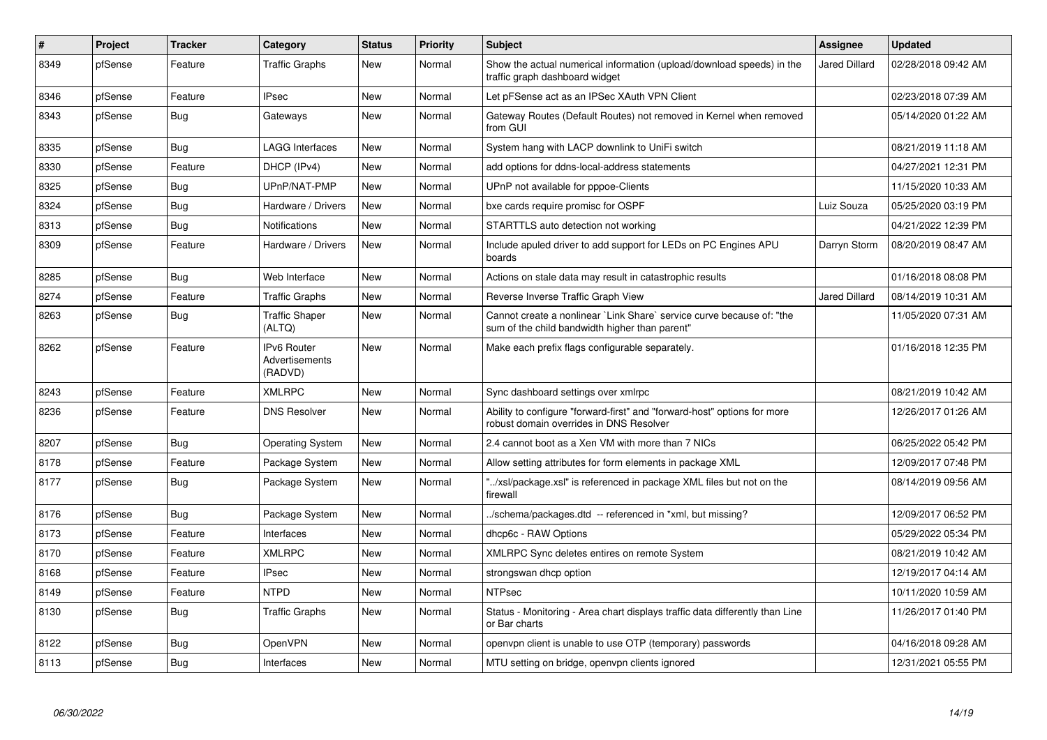| $\vert$ # | Project | <b>Tracker</b> | Category                                        | <b>Status</b> | Priority | <b>Subject</b>                                                                                                          | Assignee             | <b>Updated</b>      |
|-----------|---------|----------------|-------------------------------------------------|---------------|----------|-------------------------------------------------------------------------------------------------------------------------|----------------------|---------------------|
| 8349      | pfSense | Feature        | <b>Traffic Graphs</b>                           | <b>New</b>    | Normal   | Show the actual numerical information (upload/download speeds) in the<br>traffic graph dashboard widget                 | <b>Jared Dillard</b> | 02/28/2018 09:42 AM |
| 8346      | pfSense | Feature        | <b>IPsec</b>                                    | <b>New</b>    | Normal   | Let pFSense act as an IPSec XAuth VPN Client                                                                            |                      | 02/23/2018 07:39 AM |
| 8343      | pfSense | Bug            | Gateways                                        | <b>New</b>    | Normal   | Gateway Routes (Default Routes) not removed in Kernel when removed<br>from GUI                                          |                      | 05/14/2020 01:22 AM |
| 8335      | pfSense | Bug            | <b>LAGG Interfaces</b>                          | <b>New</b>    | Normal   | System hang with LACP downlink to UniFi switch                                                                          |                      | 08/21/2019 11:18 AM |
| 8330      | pfSense | Feature        | DHCP (IPv4)                                     | <b>New</b>    | Normal   | add options for ddns-local-address statements                                                                           |                      | 04/27/2021 12:31 PM |
| 8325      | pfSense | <b>Bug</b>     | UPnP/NAT-PMP                                    | <b>New</b>    | Normal   | UPnP not available for pppoe-Clients                                                                                    |                      | 11/15/2020 10:33 AM |
| 8324      | pfSense | Bug            | Hardware / Drivers                              | <b>New</b>    | Normal   | bxe cards require promisc for OSPF                                                                                      | Luiz Souza           | 05/25/2020 03:19 PM |
| 8313      | pfSense | <b>Bug</b>     | <b>Notifications</b>                            | <b>New</b>    | Normal   | STARTTLS auto detection not working                                                                                     |                      | 04/21/2022 12:39 PM |
| 8309      | pfSense | Feature        | Hardware / Drivers                              | <b>New</b>    | Normal   | Include apuled driver to add support for LEDs on PC Engines APU<br>boards                                               | Darryn Storm         | 08/20/2019 08:47 AM |
| 8285      | pfSense | Bug            | Web Interface                                   | <b>New</b>    | Normal   | Actions on stale data may result in catastrophic results                                                                |                      | 01/16/2018 08:08 PM |
| 8274      | pfSense | Feature        | <b>Traffic Graphs</b>                           | <b>New</b>    | Normal   | Reverse Inverse Traffic Graph View                                                                                      | <b>Jared Dillard</b> | 08/14/2019 10:31 AM |
| 8263      | pfSense | Bug            | <b>Traffic Shaper</b><br>(ALTQ)                 | <b>New</b>    | Normal   | Cannot create a nonlinear `Link Share` service curve because of: "the<br>sum of the child bandwidth higher than parent" |                      | 11/05/2020 07:31 AM |
| 8262      | pfSense | Feature        | <b>IPv6 Router</b><br>Advertisements<br>(RADVD) | <b>New</b>    | Normal   | Make each prefix flags configurable separately.                                                                         |                      | 01/16/2018 12:35 PM |
| 8243      | pfSense | Feature        | <b>XMLRPC</b>                                   | <b>New</b>    | Normal   | Sync dashboard settings over xmlrpc                                                                                     |                      | 08/21/2019 10:42 AM |
| 8236      | pfSense | Feature        | <b>DNS Resolver</b>                             | <b>New</b>    | Normal   | Ability to configure "forward-first" and "forward-host" options for more<br>robust domain overrides in DNS Resolver     |                      | 12/26/2017 01:26 AM |
| 8207      | pfSense | <b>Bug</b>     | <b>Operating System</b>                         | <b>New</b>    | Normal   | 2.4 cannot boot as a Xen VM with more than 7 NICs                                                                       |                      | 06/25/2022 05:42 PM |
| 8178      | pfSense | Feature        | Package System                                  | <b>New</b>    | Normal   | Allow setting attributes for form elements in package XML                                                               |                      | 12/09/2017 07:48 PM |
| 8177      | pfSense | Bug            | Package System                                  | <b>New</b>    | Normal   | '/xsl/package.xsl" is referenced in package XML files but not on the<br>firewall                                        |                      | 08/14/2019 09:56 AM |
| 8176      | pfSense | Bug            | Package System                                  | <b>New</b>    | Normal   | ./schema/packages.dtd -- referenced in *xml, but missing?                                                               |                      | 12/09/2017 06:52 PM |
| 8173      | pfSense | Feature        | Interfaces                                      | <b>New</b>    | Normal   | dhcp6c - RAW Options                                                                                                    |                      | 05/29/2022 05:34 PM |
| 8170      | pfSense | Feature        | <b>XMLRPC</b>                                   | <b>New</b>    | Normal   | XMLRPC Sync deletes entires on remote System                                                                            |                      | 08/21/2019 10:42 AM |
| 8168      | pfSense | Feature        | <b>IPsec</b>                                    | <b>New</b>    | Normal   | strongswan dhcp option                                                                                                  |                      | 12/19/2017 04:14 AM |
| 8149      | pfSense | Feature        | <b>NTPD</b>                                     | <b>New</b>    | Normal   | NTPsec                                                                                                                  |                      | 10/11/2020 10:59 AM |
| 8130      | pfSense | Bug            | <b>Traffic Graphs</b>                           | <b>New</b>    | Normal   | Status - Monitoring - Area chart displays traffic data differently than Line<br>or Bar charts                           |                      | 11/26/2017 01:40 PM |
| 8122      | pfSense | Bug            | OpenVPN                                         | New           | Normal   | openvpn client is unable to use OTP (temporary) passwords                                                               |                      | 04/16/2018 09:28 AM |
| 8113      | pfSense | Bug            | Interfaces                                      | <b>New</b>    | Normal   | MTU setting on bridge, openvpn clients ignored                                                                          |                      | 12/31/2021 05:55 PM |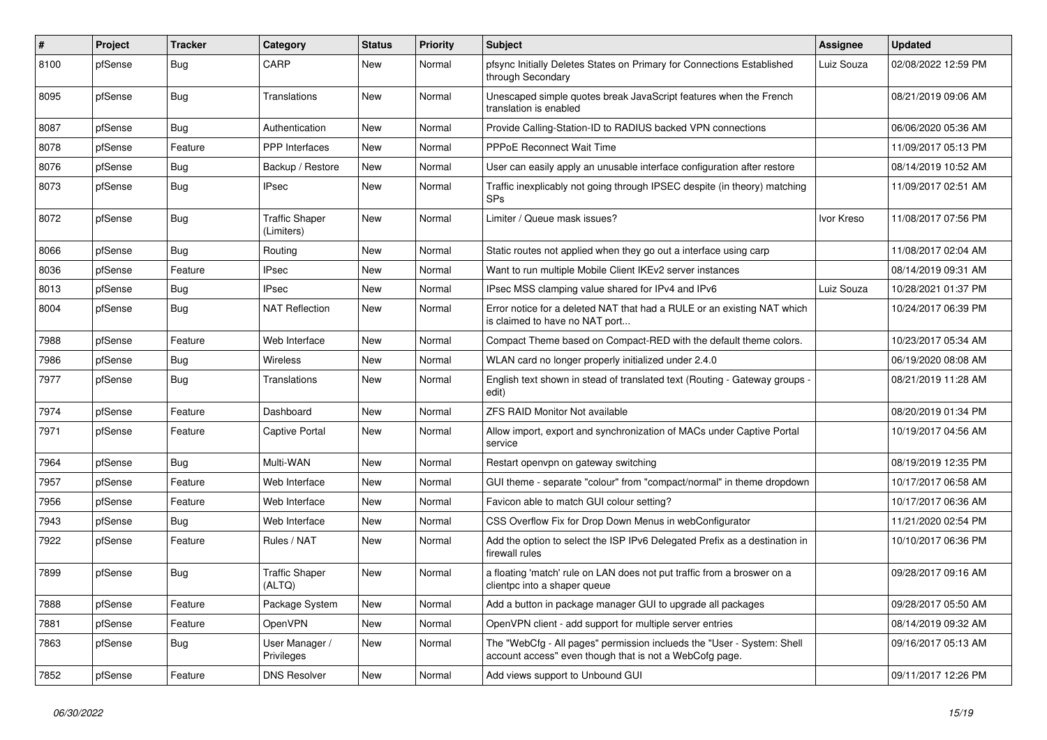| #    | Project | <b>Tracker</b> | Category                            | <b>Status</b> | <b>Priority</b> | <b>Subject</b>                                                                                                                    | <b>Assignee</b> | <b>Updated</b>      |
|------|---------|----------------|-------------------------------------|---------------|-----------------|-----------------------------------------------------------------------------------------------------------------------------------|-----------------|---------------------|
| 8100 | pfSense | Bug            | CARP                                | <b>New</b>    | Normal          | pfsync Initially Deletes States on Primary for Connections Established<br>through Secondary                                       | Luiz Souza      | 02/08/2022 12:59 PM |
| 8095 | pfSense | Bug            | Translations                        | <b>New</b>    | Normal          | Unescaped simple quotes break JavaScript features when the French<br>translation is enabled                                       |                 | 08/21/2019 09:06 AM |
| 8087 | pfSense | Bug            | Authentication                      | <b>New</b>    | Normal          | Provide Calling-Station-ID to RADIUS backed VPN connections                                                                       |                 | 06/06/2020 05:36 AM |
| 8078 | pfSense | Feature        | <b>PPP</b> Interfaces               | New           | Normal          | PPPoE Reconnect Wait Time                                                                                                         |                 | 11/09/2017 05:13 PM |
| 8076 | pfSense | Bug            | Backup / Restore                    | New           | Normal          | User can easily apply an unusable interface configuration after restore                                                           |                 | 08/14/2019 10:52 AM |
| 8073 | pfSense | <b>Bug</b>     | <b>IPsec</b>                        | <b>New</b>    | Normal          | Traffic inexplicably not going through IPSEC despite (in theory) matching<br>SPs                                                  |                 | 11/09/2017 02:51 AM |
| 8072 | pfSense | Bug            | <b>Traffic Shaper</b><br>(Limiters) | <b>New</b>    | Normal          | Limiter / Queue mask issues?                                                                                                      | Ivor Kreso      | 11/08/2017 07:56 PM |
| 8066 | pfSense | <b>Bug</b>     | Routing                             | New           | Normal          | Static routes not applied when they go out a interface using carp                                                                 |                 | 11/08/2017 02:04 AM |
| 8036 | pfSense | Feature        | <b>IPsec</b>                        | New           | Normal          | Want to run multiple Mobile Client IKEv2 server instances                                                                         |                 | 08/14/2019 09:31 AM |
| 8013 | pfSense | <b>Bug</b>     | <b>IPsec</b>                        | New           | Normal          | IPsec MSS clamping value shared for IPv4 and IPv6                                                                                 | Luiz Souza      | 10/28/2021 01:37 PM |
| 8004 | pfSense | <b>Bug</b>     | <b>NAT Reflection</b>               | New           | Normal          | Error notice for a deleted NAT that had a RULE or an existing NAT which<br>is claimed to have no NAT port                         |                 | 10/24/2017 06:39 PM |
| 7988 | pfSense | Feature        | Web Interface                       | <b>New</b>    | Normal          | Compact Theme based on Compact-RED with the default theme colors.                                                                 |                 | 10/23/2017 05:34 AM |
| 7986 | pfSense | Bug            | Wireless                            | <b>New</b>    | Normal          | WLAN card no longer properly initialized under 2.4.0                                                                              |                 | 06/19/2020 08:08 AM |
| 7977 | pfSense | <b>Bug</b>     | Translations                        | New           | Normal          | English text shown in stead of translated text (Routing - Gateway groups -<br>edit)                                               |                 | 08/21/2019 11:28 AM |
| 7974 | pfSense | Feature        | Dashboard                           | <b>New</b>    | Normal          | <b>ZFS RAID Monitor Not available</b>                                                                                             |                 | 08/20/2019 01:34 PM |
| 7971 | pfSense | Feature        | Captive Portal                      | New           | Normal          | Allow import, export and synchronization of MACs under Captive Portal<br>service                                                  |                 | 10/19/2017 04:56 AM |
| 7964 | pfSense | Bug            | Multi-WAN                           | <b>New</b>    | Normal          | Restart openvpn on gateway switching                                                                                              |                 | 08/19/2019 12:35 PM |
| 7957 | pfSense | Feature        | Web Interface                       | New           | Normal          | GUI theme - separate "colour" from "compact/normal" in theme dropdown                                                             |                 | 10/17/2017 06:58 AM |
| 7956 | pfSense | Feature        | Web Interface                       | New           | Normal          | Favicon able to match GUI colour setting?                                                                                         |                 | 10/17/2017 06:36 AM |
| 7943 | pfSense | <b>Bug</b>     | Web Interface                       | New           | Normal          | CSS Overflow Fix for Drop Down Menus in webConfigurator                                                                           |                 | 11/21/2020 02:54 PM |
| 7922 | pfSense | Feature        | Rules / NAT                         | New           | Normal          | Add the option to select the ISP IPv6 Delegated Prefix as a destination in<br>firewall rules                                      |                 | 10/10/2017 06:36 PM |
| 7899 | pfSense | Bug            | <b>Traffic Shaper</b><br>(ALTQ)     | <b>New</b>    | Normal          | a floating 'match' rule on LAN does not put traffic from a broswer on a<br>clientpc into a shaper queue                           |                 | 09/28/2017 09:16 AM |
| 7888 | pfSense | Feature        | Package System                      | New           | Normal          | Add a button in package manager GUI to upgrade all packages                                                                       |                 | 09/28/2017 05:50 AM |
| 7881 | pfSense | Feature        | OpenVPN                             | New           | Normal          | OpenVPN client - add support for multiple server entries                                                                          |                 | 08/14/2019 09:32 AM |
| 7863 | pfSense | Bug            | User Manager /<br>Privileges        | New           | Normal          | The "WebCfg - All pages" permission inclueds the "User - System: Shell<br>account access" even though that is not a WebCofg page. |                 | 09/16/2017 05:13 AM |
| 7852 | pfSense | Feature        | <b>DNS Resolver</b>                 | New           | Normal          | Add views support to Unbound GUI                                                                                                  |                 | 09/11/2017 12:26 PM |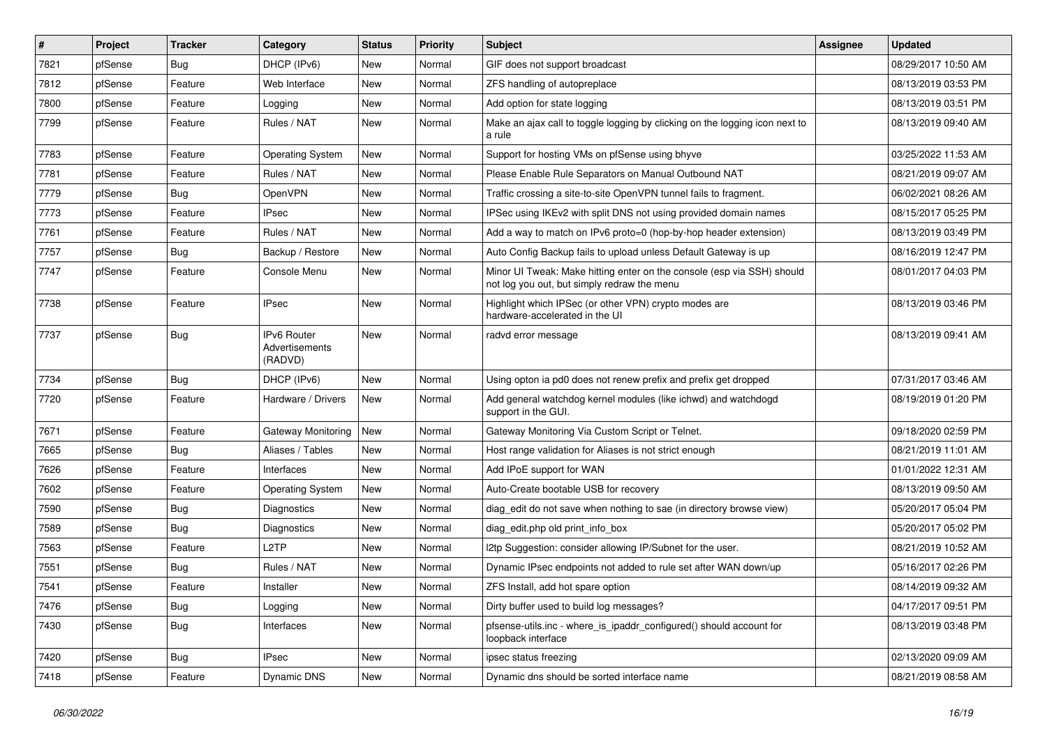| #    | Project | <b>Tracker</b> | Category                                 | <b>Status</b> | <b>Priority</b> | <b>Subject</b>                                                                                                        | Assignee | <b>Updated</b>      |
|------|---------|----------------|------------------------------------------|---------------|-----------------|-----------------------------------------------------------------------------------------------------------------------|----------|---------------------|
| 7821 | pfSense | Bug            | DHCP (IPv6)                              | New           | Normal          | GIF does not support broadcast                                                                                        |          | 08/29/2017 10:50 AM |
| 7812 | pfSense | Feature        | Web Interface                            | New           | Normal          | ZFS handling of autopreplace                                                                                          |          | 08/13/2019 03:53 PM |
| 7800 | pfSense | Feature        | Logging                                  | New           | Normal          | Add option for state logging                                                                                          |          | 08/13/2019 03:51 PM |
| 7799 | pfSense | Feature        | Rules / NAT                              | New           | Normal          | Make an ajax call to toggle logging by clicking on the logging icon next to<br>a rule                                 |          | 08/13/2019 09:40 AM |
| 7783 | pfSense | Feature        | <b>Operating System</b>                  | <b>New</b>    | Normal          | Support for hosting VMs on pfSense using bhyve                                                                        |          | 03/25/2022 11:53 AM |
| 7781 | pfSense | Feature        | Rules / NAT                              | New           | Normal          | Please Enable Rule Separators on Manual Outbound NAT                                                                  |          | 08/21/2019 09:07 AM |
| 7779 | pfSense | <b>Bug</b>     | OpenVPN                                  | New           | Normal          | Traffic crossing a site-to-site OpenVPN tunnel fails to fragment.                                                     |          | 06/02/2021 08:26 AM |
| 7773 | pfSense | Feature        | <b>IPsec</b>                             | New           | Normal          | IPSec using IKEv2 with split DNS not using provided domain names                                                      |          | 08/15/2017 05:25 PM |
| 7761 | pfSense | Feature        | Rules / NAT                              | New           | Normal          | Add a way to match on IPv6 proto=0 (hop-by-hop header extension)                                                      |          | 08/13/2019 03:49 PM |
| 7757 | pfSense | <b>Bug</b>     | Backup / Restore                         | New           | Normal          | Auto Config Backup fails to upload unless Default Gateway is up                                                       |          | 08/16/2019 12:47 PM |
| 7747 | pfSense | Feature        | Console Menu                             | New           | Normal          | Minor UI Tweak: Make hitting enter on the console (esp via SSH) should<br>not log you out, but simply redraw the menu |          | 08/01/2017 04:03 PM |
| 7738 | pfSense | Feature        | IPsec                                    | New           | Normal          | Highlight which IPSec (or other VPN) crypto modes are<br>hardware-accelerated in the UI                               |          | 08/13/2019 03:46 PM |
| 7737 | pfSense | Bug            | IPv6 Router<br>Advertisements<br>(RADVD) | New           | Normal          | radvd error message                                                                                                   |          | 08/13/2019 09:41 AM |
| 7734 | pfSense | <b>Bug</b>     | DHCP (IPv6)                              | New           | Normal          | Using opton ia pd0 does not renew prefix and prefix get dropped                                                       |          | 07/31/2017 03:46 AM |
| 7720 | pfSense | Feature        | Hardware / Drivers                       | New           | Normal          | Add general watchdog kernel modules (like ichwd) and watchdogd<br>support in the GUI.                                 |          | 08/19/2019 01:20 PM |
| 7671 | pfSense | Feature        | Gateway Monitoring                       | New           | Normal          | Gateway Monitoring Via Custom Script or Telnet.                                                                       |          | 09/18/2020 02:59 PM |
| 7665 | pfSense | <b>Bug</b>     | Aliases / Tables                         | New           | Normal          | Host range validation for Aliases is not strict enough                                                                |          | 08/21/2019 11:01 AM |
| 7626 | pfSense | Feature        | Interfaces                               | New           | Normal          | Add IPoE support for WAN                                                                                              |          | 01/01/2022 12:31 AM |
| 7602 | pfSense | Feature        | <b>Operating System</b>                  | New           | Normal          | Auto-Create bootable USB for recovery                                                                                 |          | 08/13/2019 09:50 AM |
| 7590 | pfSense | <b>Bug</b>     | Diagnostics                              | New           | Normal          | diag_edit do not save when nothing to sae (in directory browse view)                                                  |          | 05/20/2017 05:04 PM |
| 7589 | pfSense | <b>Bug</b>     | Diagnostics                              | New           | Normal          | diag edit.php old print info box                                                                                      |          | 05/20/2017 05:02 PM |
| 7563 | pfSense | Feature        | L2TP                                     | New           | Normal          | I2tp Suggestion: consider allowing IP/Subnet for the user.                                                            |          | 08/21/2019 10:52 AM |
| 7551 | pfSense | Bug            | Rules / NAT                              | New           | Normal          | Dynamic IPsec endpoints not added to rule set after WAN down/up                                                       |          | 05/16/2017 02:26 PM |
| 7541 | pfSense | Feature        | Installer                                | New           | Normal          | ZFS Install, add hot spare option                                                                                     |          | 08/14/2019 09:32 AM |
| 7476 | pfSense | Bug            | Logging                                  | New           | Normal          | Dirty buffer used to build log messages?                                                                              |          | 04/17/2017 09:51 PM |
| 7430 | pfSense | <b>Bug</b>     | Interfaces                               | New           | Normal          | pfsense-utils.inc - where_is_ipaddr_configured() should account for<br>loopback interface                             |          | 08/13/2019 03:48 PM |
| 7420 | pfSense | <b>Bug</b>     | <b>IPsec</b>                             | New           | Normal          | ipsec status freezing                                                                                                 |          | 02/13/2020 09:09 AM |
| 7418 | pfSense | Feature        | Dynamic DNS                              | New           | Normal          | Dynamic dns should be sorted interface name                                                                           |          | 08/21/2019 08:58 AM |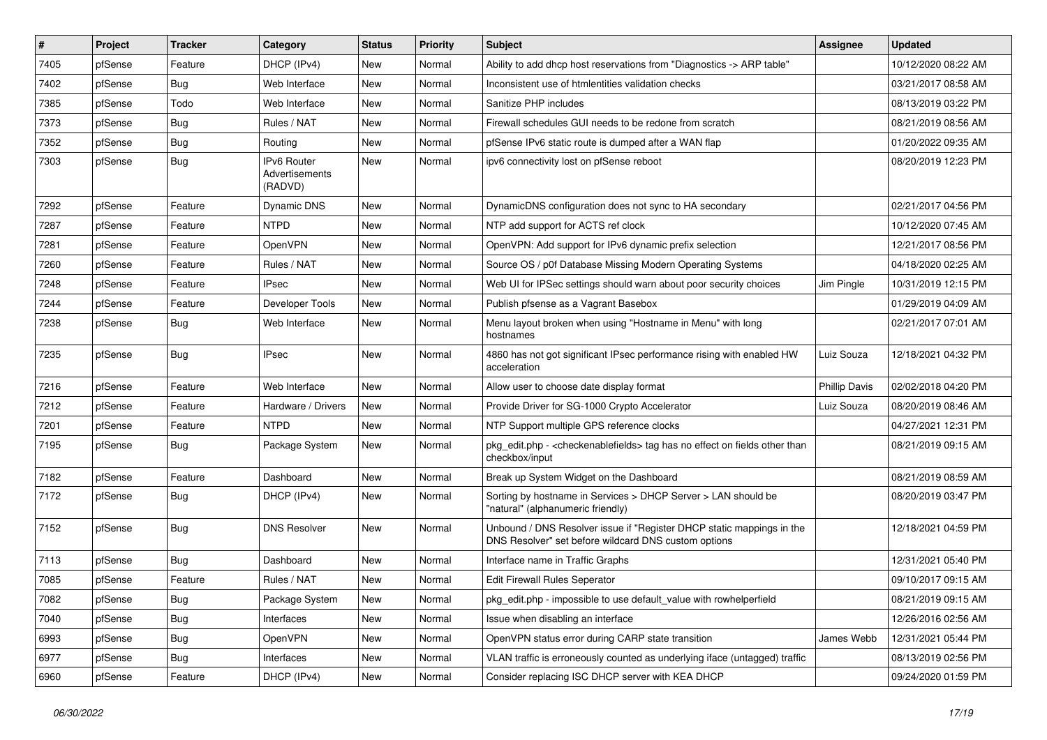| #    | Project | <b>Tracker</b> | Category                                 | <b>Status</b> | <b>Priority</b> | <b>Subject</b>                                                                                                                | Assignee             | <b>Updated</b>      |
|------|---------|----------------|------------------------------------------|---------------|-----------------|-------------------------------------------------------------------------------------------------------------------------------|----------------------|---------------------|
| 7405 | pfSense | Feature        | DHCP (IPv4)                              | <b>New</b>    | Normal          | Ability to add dhcp host reservations from "Diagnostics -> ARP table"                                                         |                      | 10/12/2020 08:22 AM |
| 7402 | pfSense | Bug            | Web Interface                            | New           | Normal          | Inconsistent use of htmlentities validation checks                                                                            |                      | 03/21/2017 08:58 AM |
| 7385 | pfSense | Todo           | Web Interface                            | New           | Normal          | Sanitize PHP includes                                                                                                         |                      | 08/13/2019 03:22 PM |
| 7373 | pfSense | Bug            | Rules / NAT                              | New           | Normal          | Firewall schedules GUI needs to be redone from scratch                                                                        |                      | 08/21/2019 08:56 AM |
| 7352 | pfSense | <b>Bug</b>     | Routing                                  | New           | Normal          | pfSense IPv6 static route is dumped after a WAN flap                                                                          |                      | 01/20/2022 09:35 AM |
| 7303 | pfSense | Bug            | IPv6 Router<br>Advertisements<br>(RADVD) | <b>New</b>    | Normal          | ipv6 connectivity lost on pfSense reboot                                                                                      |                      | 08/20/2019 12:23 PM |
| 7292 | pfSense | Feature        | Dynamic DNS                              | <b>New</b>    | Normal          | DynamicDNS configuration does not sync to HA secondary                                                                        |                      | 02/21/2017 04:56 PM |
| 7287 | pfSense | Feature        | <b>NTPD</b>                              | New           | Normal          | NTP add support for ACTS ref clock                                                                                            |                      | 10/12/2020 07:45 AM |
| 7281 | pfSense | Feature        | OpenVPN                                  | New           | Normal          | OpenVPN: Add support for IPv6 dynamic prefix selection                                                                        |                      | 12/21/2017 08:56 PM |
| 7260 | pfSense | Feature        | Rules / NAT                              | New           | Normal          | Source OS / p0f Database Missing Modern Operating Systems                                                                     |                      | 04/18/2020 02:25 AM |
| 7248 | pfSense | Feature        | <b>IPsec</b>                             | New           | Normal          | Web UI for IPSec settings should warn about poor security choices                                                             | Jim Pingle           | 10/31/2019 12:15 PM |
| 7244 | pfSense | Feature        | Developer Tools                          | New           | Normal          | Publish pfsense as a Vagrant Basebox                                                                                          |                      | 01/29/2019 04:09 AM |
| 7238 | pfSense | Bug            | Web Interface                            | New           | Normal          | Menu layout broken when using "Hostname in Menu" with long<br>hostnames                                                       |                      | 02/21/2017 07:01 AM |
| 7235 | pfSense | <b>Bug</b>     | <b>IPsec</b>                             | New           | Normal          | 4860 has not got significant IPsec performance rising with enabled HW<br>acceleration                                         | Luiz Souza           | 12/18/2021 04:32 PM |
| 7216 | pfSense | Feature        | Web Interface                            | New           | Normal          | Allow user to choose date display format                                                                                      | <b>Phillip Davis</b> | 02/02/2018 04:20 PM |
| 7212 | pfSense | Feature        | Hardware / Drivers                       | New           | Normal          | Provide Driver for SG-1000 Crypto Accelerator                                                                                 | Luiz Souza           | 08/20/2019 08:46 AM |
| 7201 | pfSense | Feature        | <b>NTPD</b>                              | New           | Normal          | NTP Support multiple GPS reference clocks                                                                                     |                      | 04/27/2021 12:31 PM |
| 7195 | pfSense | Bug            | Package System                           | New           | Normal          | pkg_edit.php - < checkenablefields > tag has no effect on fields other than<br>checkbox/input                                 |                      | 08/21/2019 09:15 AM |
| 7182 | pfSense | Feature        | Dashboard                                | New           | Normal          | Break up System Widget on the Dashboard                                                                                       |                      | 08/21/2019 08:59 AM |
| 7172 | pfSense | Bug            | DHCP (IPv4)                              | New           | Normal          | Sorting by hostname in Services > DHCP Server > LAN should be<br>"natural" (alphanumeric friendly)                            |                      | 08/20/2019 03:47 PM |
| 7152 | pfSense | Bug            | <b>DNS Resolver</b>                      | New           | Normal          | Unbound / DNS Resolver issue if "Register DHCP static mappings in the<br>DNS Resolver" set before wildcard DNS custom options |                      | 12/18/2021 04:59 PM |
| 7113 | pfSense | <b>Bug</b>     | Dashboard                                | New           | Normal          | Interface name in Traffic Graphs                                                                                              |                      | 12/31/2021 05:40 PM |
| 7085 | pfSense | Feature        | Rules / NAT                              | New           | Normal          | <b>Edit Firewall Rules Seperator</b>                                                                                          |                      | 09/10/2017 09:15 AM |
| 7082 | pfSense | <b>Bug</b>     | Package System                           | New           | Normal          | pkg_edit.php - impossible to use default_value with rowhelperfield                                                            |                      | 08/21/2019 09:15 AM |
| 7040 | pfSense | Bug            | Interfaces                               | New           | Normal          | Issue when disabling an interface                                                                                             |                      | 12/26/2016 02:56 AM |
| 6993 | pfSense | <b>Bug</b>     | OpenVPN                                  | New           | Normal          | OpenVPN status error during CARP state transition                                                                             | James Webb           | 12/31/2021 05:44 PM |
| 6977 | pfSense | <b>Bug</b>     | Interfaces                               | New           | Normal          | VLAN traffic is erroneously counted as underlying iface (untagged) traffic                                                    |                      | 08/13/2019 02:56 PM |
| 6960 | pfSense | Feature        | DHCP (IPv4)                              | New           | Normal          | Consider replacing ISC DHCP server with KEA DHCP                                                                              |                      | 09/24/2020 01:59 PM |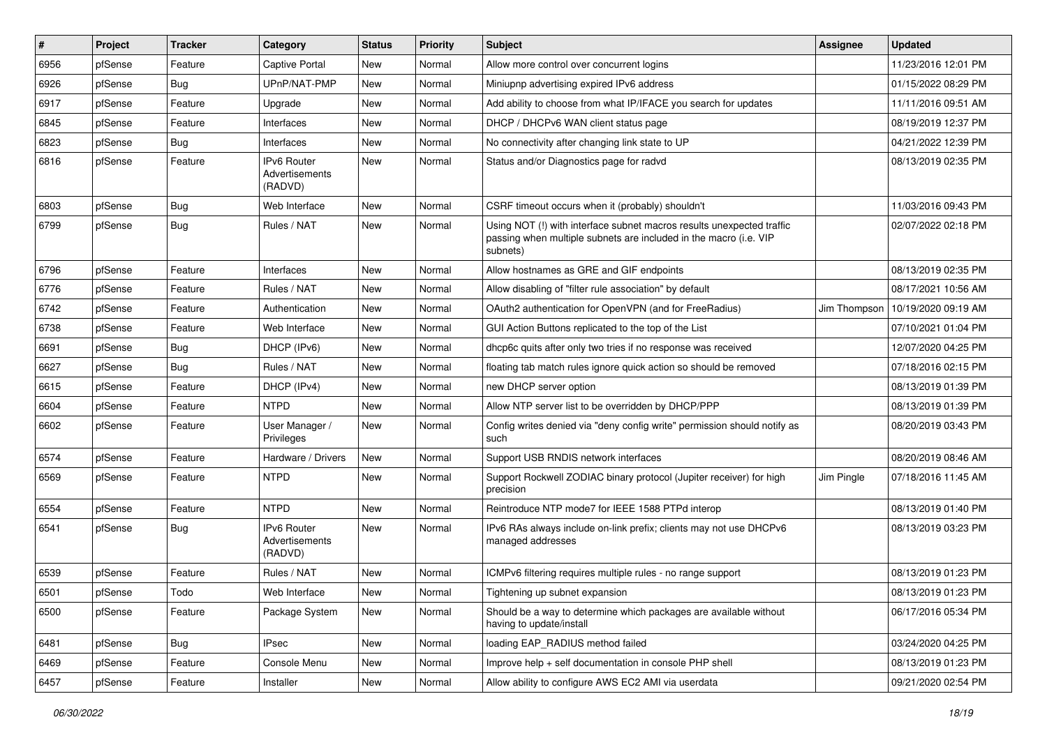| #    | Project | <b>Tracker</b> | Category                                 | <b>Status</b> | <b>Priority</b> | Subject                                                                                                                                                | <b>Assignee</b> | <b>Updated</b>      |
|------|---------|----------------|------------------------------------------|---------------|-----------------|--------------------------------------------------------------------------------------------------------------------------------------------------------|-----------------|---------------------|
| 6956 | pfSense | Feature        | Captive Portal                           | New           | Normal          | Allow more control over concurrent logins                                                                                                              |                 | 11/23/2016 12:01 PM |
| 6926 | pfSense | <b>Bug</b>     | UPnP/NAT-PMP                             | New           | Normal          | Miniupnp advertising expired IPv6 address                                                                                                              |                 | 01/15/2022 08:29 PM |
| 6917 | pfSense | Feature        | Upgrade                                  | New           | Normal          | Add ability to choose from what IP/IFACE you search for updates                                                                                        |                 | 11/11/2016 09:51 AM |
| 6845 | pfSense | Feature        | Interfaces                               | New           | Normal          | DHCP / DHCPv6 WAN client status page                                                                                                                   |                 | 08/19/2019 12:37 PM |
| 6823 | pfSense | <b>Bug</b>     | Interfaces                               | <b>New</b>    | Normal          | No connectivity after changing link state to UP                                                                                                        |                 | 04/21/2022 12:39 PM |
| 6816 | pfSense | Feature        | IPv6 Router<br>Advertisements<br>(RADVD) | <b>New</b>    | Normal          | Status and/or Diagnostics page for radvd                                                                                                               |                 | 08/13/2019 02:35 PM |
| 6803 | pfSense | Bug            | Web Interface                            | New           | Normal          | CSRF timeout occurs when it (probably) shouldn't                                                                                                       |                 | 11/03/2016 09:43 PM |
| 6799 | pfSense | <b>Bug</b>     | Rules / NAT                              | New           | Normal          | Using NOT (!) with interface subnet macros results unexpected traffic<br>passing when multiple subnets are included in the macro (i.e. VIP<br>subnets) |                 | 02/07/2022 02:18 PM |
| 6796 | pfSense | Feature        | Interfaces                               | New           | Normal          | Allow hostnames as GRE and GIF endpoints                                                                                                               |                 | 08/13/2019 02:35 PM |
| 6776 | pfSense | Feature        | Rules / NAT                              | New           | Normal          | Allow disabling of "filter rule association" by default                                                                                                |                 | 08/17/2021 10:56 AM |
| 6742 | pfSense | Feature        | Authentication                           | New           | Normal          | OAuth2 authentication for OpenVPN (and for FreeRadius)                                                                                                 | Jim Thompson    | 10/19/2020 09:19 AM |
| 6738 | pfSense | Feature        | Web Interface                            | <b>New</b>    | Normal          | GUI Action Buttons replicated to the top of the List                                                                                                   |                 | 07/10/2021 01:04 PM |
| 6691 | pfSense | Bug            | DHCP (IPv6)                              | New           | Normal          | dhcp6c quits after only two tries if no response was received                                                                                          |                 | 12/07/2020 04:25 PM |
| 6627 | pfSense | <b>Bug</b>     | Rules / NAT                              | New           | Normal          | floating tab match rules ignore quick action so should be removed                                                                                      |                 | 07/18/2016 02:15 PM |
| 6615 | pfSense | Feature        | DHCP (IPv4)                              | New           | Normal          | new DHCP server option                                                                                                                                 |                 | 08/13/2019 01:39 PM |
| 6604 | pfSense | Feature        | <b>NTPD</b>                              | <b>New</b>    | Normal          | Allow NTP server list to be overridden by DHCP/PPP                                                                                                     |                 | 08/13/2019 01:39 PM |
| 6602 | pfSense | Feature        | User Manager /<br>Privileges             | <b>New</b>    | Normal          | Config writes denied via "deny config write" permission should notify as<br>such                                                                       |                 | 08/20/2019 03:43 PM |
| 6574 | pfSense | Feature        | Hardware / Drivers                       | New           | Normal          | Support USB RNDIS network interfaces                                                                                                                   |                 | 08/20/2019 08:46 AM |
| 6569 | pfSense | Feature        | <b>NTPD</b>                              | New           | Normal          | Support Rockwell ZODIAC binary protocol (Jupiter receiver) for high<br>precision                                                                       | Jim Pingle      | 07/18/2016 11:45 AM |
| 6554 | pfSense | Feature        | <b>NTPD</b>                              | <b>New</b>    | Normal          | Reintroduce NTP mode7 for IEEE 1588 PTPd interop                                                                                                       |                 | 08/13/2019 01:40 PM |
| 6541 | pfSense | <b>Bug</b>     | IPv6 Router<br>Advertisements<br>(RADVD) | New           | Normal          | IPv6 RAs always include on-link prefix; clients may not use DHCPv6<br>managed addresses                                                                |                 | 08/13/2019 03:23 PM |
| 6539 | pfSense | Feature        | Rules / NAT                              | New           | Normal          | ICMPv6 filtering requires multiple rules - no range support                                                                                            |                 | 08/13/2019 01:23 PM |
| 6501 | pfSense | Todo           | Web Interface                            | New           | Normal          | Tightening up subnet expansion                                                                                                                         |                 | 08/13/2019 01:23 PM |
| 6500 | pfSense | Feature        | Package System                           | New           | Normal          | Should be a way to determine which packages are available without<br>having to update/install                                                          |                 | 06/17/2016 05:34 PM |
| 6481 | pfSense | Bug            | <b>IPsec</b>                             | New           | Normal          | loading EAP_RADIUS method failed                                                                                                                       |                 | 03/24/2020 04:25 PM |
| 6469 | pfSense | Feature        | Console Menu                             | New           | Normal          | Improve help + self documentation in console PHP shell                                                                                                 |                 | 08/13/2019 01:23 PM |
| 6457 | pfSense | Feature        | Installer                                | New           | Normal          | Allow ability to configure AWS EC2 AMI via userdata                                                                                                    |                 | 09/21/2020 02:54 PM |